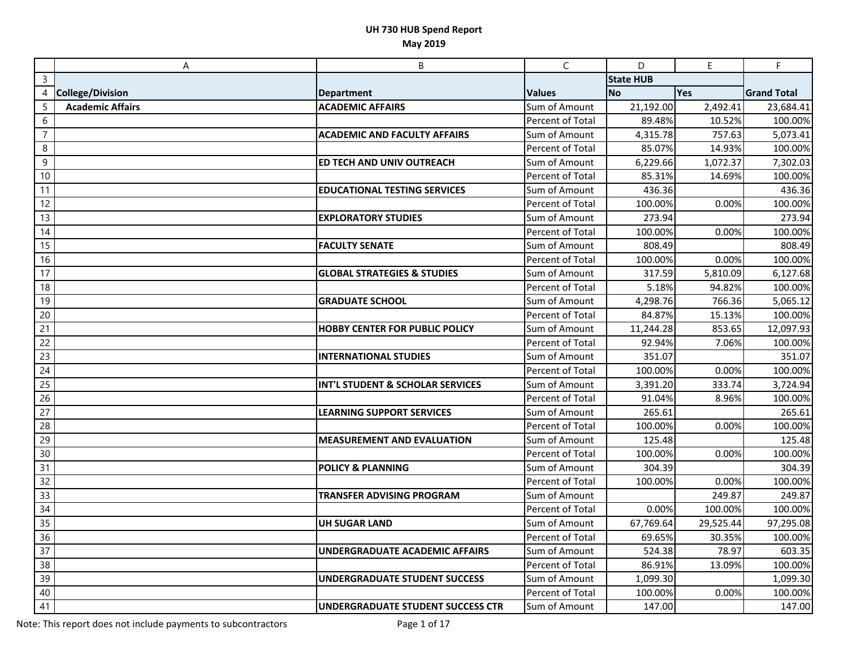|                 | A                       | B                                        | $\mathsf{C}$            | D                | E.        | $\mathsf F$           |
|-----------------|-------------------------|------------------------------------------|-------------------------|------------------|-----------|-----------------------|
| $\overline{3}$  |                         |                                          |                         | <b>State HUB</b> |           |                       |
| 4               | <b>College/Division</b> | <b>Department</b>                        | <b>Values</b>           | <b>No</b>        | Yes       | <b>Grand Total</b>    |
| $\overline{5}$  | <b>Academic Affairs</b> | <b>ACADEMIC AFFAIRS</b>                  | Sum of Amount           | 21,192.00        | 2,492.41  | 23,684.41             |
| 6               |                         |                                          | Percent of Total        | 89.48%           | 10.52%    | 100.00%               |
| $\overline{7}$  |                         | <b>ACADEMIC AND FACULTY AFFAIRS</b>      | Sum of Amount           | 4,315.78         | 757.63    | 5,073.41              |
| 8               |                         |                                          | Percent of Total        | 85.07%           | 14.93%    | 100.00%               |
| 9               |                         | ED TECH AND UNIV OUTREACH                | Sum of Amount           | 6,229.66         | 1,072.37  | 7,302.03              |
| 10              |                         |                                          | Percent of Total        | 85.31%           | 14.69%    | 100.00%               |
| 11              |                         | <b>EDUCATIONAL TESTING SERVICES</b>      | Sum of Amount           | 436.36           |           | 436.36                |
| 12              |                         |                                          | Percent of Total        | 100.00%          | 0.00%     | 100.00%               |
| 13              |                         | <b>EXPLORATORY STUDIES</b>               | Sum of Amount           | 273.94           |           | 273.94                |
| 14              |                         |                                          | Percent of Total        | 100.00%          | 0.00%     | 100.00%               |
| 15              |                         | <b>FACULTY SENATE</b>                    | Sum of Amount           | 808.49           |           | 808.49                |
| 16              |                         |                                          | Percent of Total        | 100.00%          | 0.00%     | 100.00%               |
| 17              |                         | <b>GLOBAL STRATEGIES &amp; STUDIES</b>   | Sum of Amount           | 317.59           | 5,810.09  | 6,127.68              |
| 18              |                         |                                          | <b>Percent of Total</b> | 5.18%            | 94.82%    | 100.00%               |
| 19              |                         | <b>GRADUATE SCHOOL</b>                   | Sum of Amount           | 4,298.76         | 766.36    | 5,065.12              |
| 20              |                         |                                          | Percent of Total        | 84.87%           | 15.13%    | 100.00%               |
| 21              |                         | <b>HOBBY CENTER FOR PUBLIC POLICY</b>    | Sum of Amount           | 11,244.28        | 853.65    | 12,097.93             |
| 22              |                         |                                          | Percent of Total        | 92.94%           | 7.06%     | 100.00%               |
| 23              |                         | <b>INTERNATIONAL STUDIES</b>             | Sum of Amount           | 351.07           |           | 351.07                |
| $\overline{24}$ |                         |                                          | Percent of Total        | 100.00%          | 0.00%     | 100.00%               |
| 25              |                         | INT'L STUDENT & SCHOLAR SERVICES         | Sum of Amount           | 3,391.20         | 333.74    | $\overline{3,724.94}$ |
| 26              |                         |                                          | Percent of Total        | 91.04%           | 8.96%     | 100.00%               |
| 27              |                         | <b>LEARNING SUPPORT SERVICES</b>         | Sum of Amount           | 265.61           |           | 265.61                |
| 28              |                         |                                          | Percent of Total        | 100.00%          | 0.00%     | 100.00%               |
| 29              |                         | <b>MEASUREMENT AND EVALUATION</b>        | Sum of Amount           | 125.48           |           | 125.48                |
| 30              |                         |                                          | Percent of Total        | 100.00%          | 0.00%     | 100.00%               |
| $\overline{31}$ |                         | <b>POLICY &amp; PLANNING</b>             | Sum of Amount           | 304.39           |           | 304.39                |
| 32              |                         |                                          | Percent of Total        | 100.00%          | 0.00%     | 100.00%               |
| 33              |                         | <b>TRANSFER ADVISING PROGRAM</b>         | Sum of Amount           |                  | 249.87    | 249.87                |
| 34              |                         |                                          | Percent of Total        | 0.00%            | 100.00%   | 100.00%               |
| 35              |                         | <b>UH SUGAR LAND</b>                     | Sum of Amount           | 67,769.64        | 29,525.44 | 97,295.08             |
| 36              |                         |                                          | Percent of Total        | 69.65%           | 30.35%    | 100.00%               |
| $\overline{37}$ |                         | <b>UNDERGRADUATE ACADEMIC AFFAIRS</b>    | Sum of Amount           | 524.38           | 78.97     | 603.35                |
| 38              |                         |                                          | Percent of Total        | 86.91%           | 13.09%    | 100.00%               |
| 39              |                         | <b>UNDERGRADUATE STUDENT SUCCESS</b>     | Sum of Amount           | 1,099.30         |           | 1,099.30              |
| 40              |                         |                                          | Percent of Total        | 100.00%          | 0.00%     | 100.00%               |
| 41              |                         | <b>UNDERGRADUATE STUDENT SUCCESS CTR</b> | Sum of Amount           | 147.00           |           | 147.00                |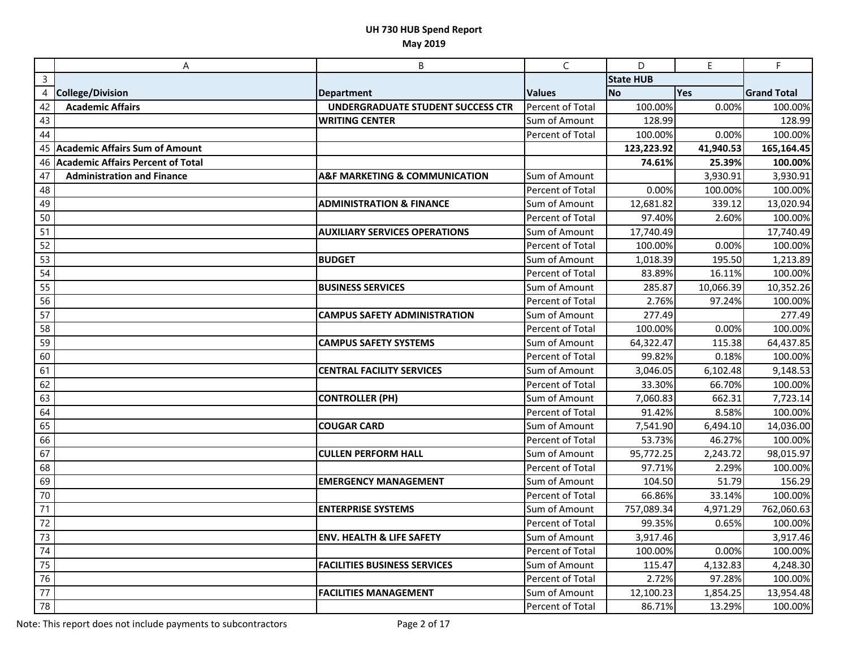|                 | Α                                 | B                                            | $\mathsf{C}$     | D                | E         | $\mathsf F$        |
|-----------------|-----------------------------------|----------------------------------------------|------------------|------------------|-----------|--------------------|
| $\overline{3}$  |                                   |                                              |                  | <b>State HUB</b> |           |                    |
| 4               | <b>College/Division</b>           | <b>Department</b>                            | <b>Values</b>    | <b>No</b>        | Yes       | <b>Grand Total</b> |
| 42              | <b>Academic Affairs</b>           | <b>UNDERGRADUATE STUDENT SUCCESS CTR</b>     | Percent of Total | 100.00%          | 0.00%     | 100.00%            |
| 43              |                                   | <b>WRITING CENTER</b>                        | Sum of Amount    | 128.99           |           | 128.99             |
| 44              |                                   |                                              | Percent of Total | 100.00%          | 0.00%     | 100.00%            |
|                 | 45 Academic Affairs Sum of Amount |                                              |                  | 123,223.92       | 41,940.53 | 165,164.45         |
| 46              | Academic Affairs Percent of Total |                                              |                  | 74.61%           | 25.39%    | 100.00%            |
| 47              | <b>Administration and Finance</b> | <b>A&amp;F MARKETING &amp; COMMUNICATION</b> | Sum of Amount    |                  | 3,930.91  | 3,930.91           |
| 48              |                                   |                                              | Percent of Total | 0.00%            | 100.00%   | 100.00%            |
| 49              |                                   | <b>ADMINISTRATION &amp; FINANCE</b>          | Sum of Amount    | 12,681.82        | 339.12    | 13,020.94          |
| 50              |                                   |                                              | Percent of Total | 97.40%           | 2.60%     | 100.00%            |
| 51              |                                   | <b>AUXILIARY SERVICES OPERATIONS</b>         | Sum of Amount    | 17,740.49        |           | 17,740.49          |
| 52              |                                   |                                              | Percent of Total | 100.00%          | 0.00%     | 100.00%            |
| 53              |                                   | <b>BUDGET</b>                                | Sum of Amount    | 1,018.39         | 195.50    | 1,213.89           |
| $\overline{54}$ |                                   |                                              | Percent of Total | 83.89%           | 16.11%    | 100.00%            |
| 55              |                                   | <b>BUSINESS SERVICES</b>                     | Sum of Amount    | 285.87           | 10,066.39 | 10,352.26          |
| 56              |                                   |                                              | Percent of Total | 2.76%            | 97.24%    | 100.00%            |
| 57              |                                   | <b>CAMPUS SAFETY ADMINISTRATION</b>          | Sum of Amount    | 277.49           |           | 277.49             |
| 58              |                                   |                                              | Percent of Total | 100.00%          | 0.00%     | 100.00%            |
| 59              |                                   | <b>CAMPUS SAFETY SYSTEMS</b>                 | Sum of Amount    | 64,322.47        | 115.38    | 64,437.85          |
| 60              |                                   |                                              | Percent of Total | 99.82%           | 0.18%     | 100.00%            |
| 61              |                                   | <b>CENTRAL FACILITY SERVICES</b>             | Sum of Amount    | 3,046.05         | 6,102.48  | 9,148.53           |
| 62              |                                   |                                              | Percent of Total | 33.30%           | 66.70%    | 100.00%            |
| 63              |                                   | <b>CONTROLLER (PH)</b>                       | Sum of Amount    | 7,060.83         | 662.31    | 7,723.14           |
| 64              |                                   |                                              | Percent of Total | 91.42%           | 8.58%     | 100.00%            |
| 65              |                                   | <b>COUGAR CARD</b>                           | Sum of Amount    | 7,541.90         | 6,494.10  | 14,036.00          |
| 66              |                                   |                                              | Percent of Total | 53.73%           | 46.27%    | 100.00%            |
| 67              |                                   | <b>CULLEN PERFORM HALL</b>                   | Sum of Amount    | 95,772.25        | 2,243.72  | 98,015.97          |
| 68              |                                   |                                              | Percent of Total | 97.71%           | 2.29%     | 100.00%            |
| 69              |                                   | <b>EMERGENCY MANAGEMENT</b>                  | Sum of Amount    | 104.50           | 51.79     | 156.29             |
| 70              |                                   |                                              | Percent of Total | 66.86%           | 33.14%    | 100.00%            |
| 71              |                                   | <b>ENTERPRISE SYSTEMS</b>                    | Sum of Amount    | 757,089.34       | 4,971.29  | 762,060.63         |
| 72              |                                   |                                              | Percent of Total | 99.35%           | 0.65%     | 100.00%            |
| $\overline{73}$ |                                   | <b>ENV. HEALTH &amp; LIFE SAFETY</b>         | Sum of Amount    | 3,917.46         |           | 3,917.46           |
| 74              |                                   |                                              | Percent of Total | 100.00%          | 0.00%     | 100.00%            |
| 75              |                                   | <b>FACILITIES BUSINESS SERVICES</b>          | Sum of Amount    | 115.47           | 4,132.83  | 4,248.30           |
| 76              |                                   |                                              | Percent of Total | 2.72%            | 97.28%    | 100.00%            |
| 77              |                                   | <b>FACILITIES MANAGEMENT</b>                 | Sum of Amount    | 12,100.23        | 1,854.25  | 13,954.48          |
| 78              |                                   |                                              | Percent of Total | 86.71%           | 13.29%    | 100.00%            |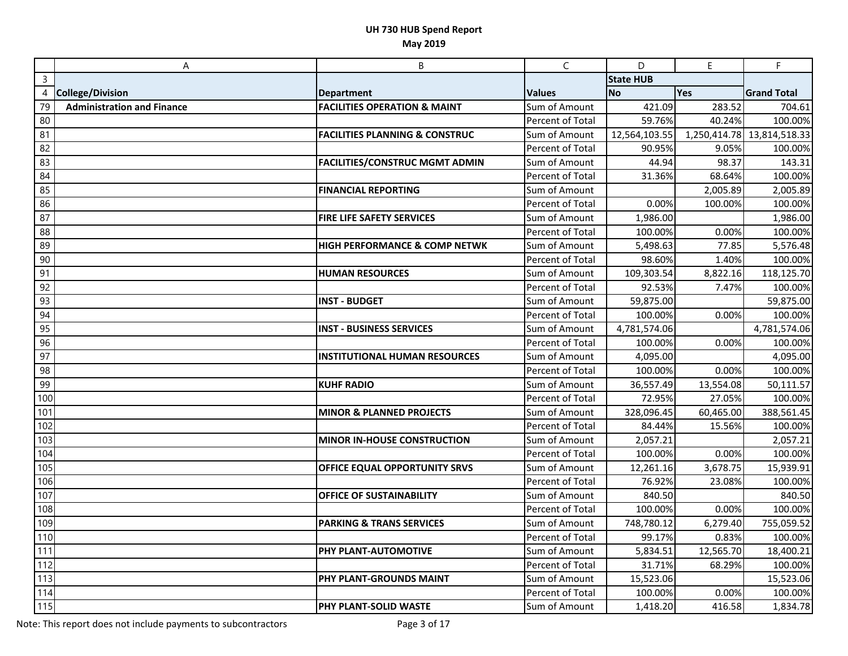|     | A                                 | B                                         | C                | D                | $\mathsf E$  | F.                 |
|-----|-----------------------------------|-------------------------------------------|------------------|------------------|--------------|--------------------|
| 3   |                                   |                                           |                  | <b>State HUB</b> |              |                    |
|     | 4 College/Division                | <b>Department</b>                         | <b>Values</b>    | <b>No</b>        | Yes          | <b>Grand Total</b> |
| 79  | <b>Administration and Finance</b> | <b>FACILITIES OPERATION &amp; MAINT</b>   | Sum of Amount    | 421.09           | 283.52       | 704.61             |
| 80  |                                   |                                           | Percent of Total | 59.76%           | 40.24%       | 100.00%            |
| 81  |                                   | <b>FACILITIES PLANNING &amp; CONSTRUC</b> | Sum of Amount    | 12,564,103.55    | 1,250,414.78 | 13,814,518.33      |
| 82  |                                   |                                           | Percent of Total | 90.95%           | 9.05%        | 100.00%            |
| 83  |                                   | <b>FACILITIES/CONSTRUC MGMT ADMIN</b>     | Sum of Amount    | 44.94            | 98.37        | 143.31             |
| 84  |                                   |                                           | Percent of Total | 31.36%           | 68.64%       | 100.00%            |
| 85  |                                   | <b>FINANCIAL REPORTING</b>                | Sum of Amount    |                  | 2,005.89     | 2,005.89           |
| 86  |                                   |                                           | Percent of Total | 0.00%            | 100.00%      | 100.00%            |
| 87  |                                   | FIRE LIFE SAFETY SERVICES                 | Sum of Amount    | 1,986.00         |              | 1,986.00           |
| 88  |                                   |                                           | Percent of Total | 100.00%          | 0.00%        | 100.00%            |
| 89  |                                   | <b>HIGH PERFORMANCE &amp; COMP NETWK</b>  | Sum of Amount    | 5,498.63         | 77.85        | 5,576.48           |
| 90  |                                   |                                           | Percent of Total | 98.60%           | 1.40%        | 100.00%            |
| 91  |                                   | <b>HUMAN RESOURCES</b>                    | Sum of Amount    | 109,303.54       | 8,822.16     | 118,125.70         |
| 92  |                                   |                                           | Percent of Total | 92.53%           | 7.47%        | 100.00%            |
| 93  |                                   | <b>INST - BUDGET</b>                      | Sum of Amount    | 59,875.00        |              | 59,875.00          |
| 94  |                                   |                                           | Percent of Total | 100.00%          | 0.00%        | 100.00%            |
| 95  |                                   | <b>INST - BUSINESS SERVICES</b>           | Sum of Amount    | 4,781,574.06     |              | 4,781,574.06       |
| 96  |                                   |                                           | Percent of Total | 100.00%          | 0.00%        | 100.00%            |
| 97  |                                   | <b>INSTITUTIONAL HUMAN RESOURCES</b>      | Sum of Amount    | 4,095.00         |              | 4,095.00           |
| 98  |                                   |                                           | Percent of Total | 100.00%          | 0.00%        | 100.00%            |
| 99  |                                   | <b>KUHF RADIO</b>                         | Sum of Amount    | 36,557.49        | 13,554.08    | 50,111.57          |
| 100 |                                   |                                           | Percent of Total | 72.95%           | 27.05%       | 100.00%            |
| 101 |                                   | <b>MINOR &amp; PLANNED PROJECTS</b>       | Sum of Amount    | 328,096.45       | 60,465.00    | 388,561.45         |
| 102 |                                   |                                           | Percent of Total | 84.44%           | 15.56%       | 100.00%            |
| 103 |                                   | <b>MINOR IN-HOUSE CONSTRUCTION</b>        | Sum of Amount    | 2,057.21         |              | 2,057.21           |
| 104 |                                   |                                           | Percent of Total | 100.00%          | 0.00%        | 100.00%            |
| 105 |                                   | OFFICE EQUAL OPPORTUNITY SRVS             | Sum of Amount    | 12,261.16        | 3,678.75     | 15,939.91          |
| 106 |                                   |                                           | Percent of Total | 76.92%           | 23.08%       | 100.00%            |
| 107 |                                   | <b>OFFICE OF SUSTAINABILITY</b>           | Sum of Amount    | 840.50           |              | 840.50             |
| 108 |                                   |                                           | Percent of Total | 100.00%          | 0.00%        | 100.00%            |
| 109 |                                   | <b>PARKING &amp; TRANS SERVICES</b>       | Sum of Amount    | 748,780.12       | 6,279.40     | 755,059.52         |
| 110 |                                   |                                           | Percent of Total | 99.17%           | 0.83%        | 100.00%            |
| 111 |                                   | PHY PLANT-AUTOMOTIVE                      | Sum of Amount    | 5,834.51         | 12,565.70    | 18,400.21          |
| 112 |                                   |                                           | Percent of Total | 31.71%           | 68.29%       | 100.00%            |
| 113 |                                   | PHY PLANT-GROUNDS MAINT                   | Sum of Amount    | 15,523.06        |              | 15,523.06          |
| 114 |                                   |                                           | Percent of Total | 100.00%          | 0.00%        | 100.00%            |
| 115 |                                   | PHY PLANT-SOLID WASTE                     | Sum of Amount    | 1,418.20         | 416.58       | 1,834.78           |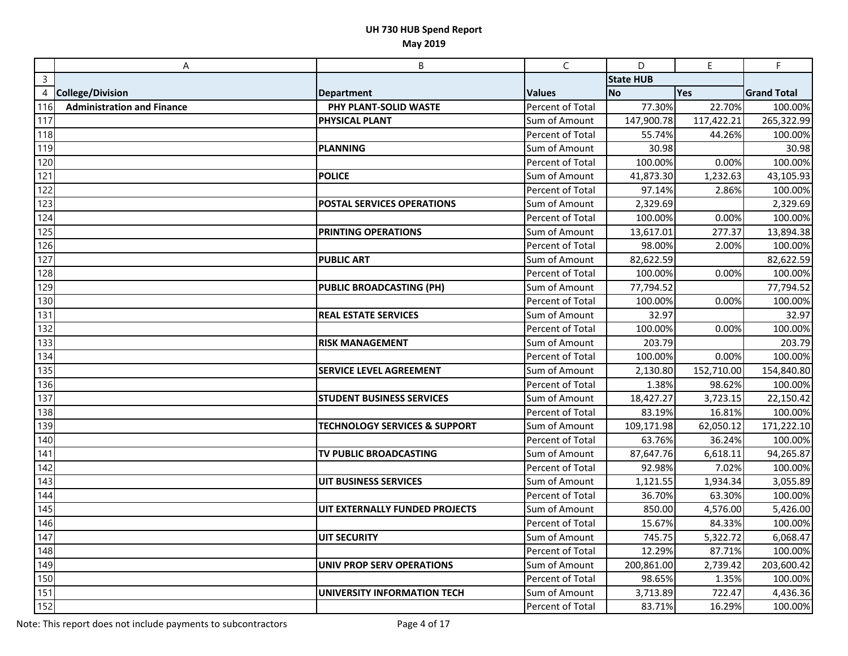|                | A                                 | B                                        | $\mathsf{C}$            | D                | $\mathsf E$ | F.                 |
|----------------|-----------------------------------|------------------------------------------|-------------------------|------------------|-------------|--------------------|
| $\overline{3}$ |                                   |                                          |                         | <b>State HUB</b> |             |                    |
| 4              | <b>College/Division</b>           | <b>Department</b>                        | <b>Values</b>           | <b>No</b>        | Yes         | <b>Grand Total</b> |
| 116            | <b>Administration and Finance</b> | PHY PLANT-SOLID WASTE                    | Percent of Total        | 77.30%           | 22.70%      | 100.00%            |
| 117            |                                   | <b>PHYSICAL PLANT</b>                    | Sum of Amount           | 147,900.78       | 117,422.21  | 265,322.99         |
| 118            |                                   |                                          | Percent of Total        | 55.74%           | 44.26%      | 100.00%            |
| 119            |                                   | <b>PLANNING</b>                          | Sum of Amount           | 30.98            |             | 30.98              |
| 120            |                                   |                                          | Percent of Total        | 100.00%          | 0.00%       | 100.00%            |
| 121            |                                   | <b>POLICE</b>                            | Sum of Amount           | 41,873.30        | 1,232.63    | 43,105.93          |
| 122            |                                   |                                          | Percent of Total        | 97.14%           | 2.86%       | 100.00%            |
| 123            |                                   | POSTAL SERVICES OPERATIONS               | Sum of Amount           | 2,329.69         |             | 2,329.69           |
| 124            |                                   |                                          | Percent of Total        | 100.00%          | 0.00%       | 100.00%            |
| 125            |                                   | PRINTING OPERATIONS                      | Sum of Amount           | 13,617.01        | 277.37      | 13,894.38          |
| 126            |                                   |                                          | Percent of Total        | 98.00%           | 2.00%       | 100.00%            |
| 127            |                                   | <b>PUBLIC ART</b>                        | Sum of Amount           | 82,622.59        |             | 82,622.59          |
| 128            |                                   |                                          | Percent of Total        | 100.00%          | 0.00%       | 100.00%            |
| 129            |                                   | <b>PUBLIC BROADCASTING (PH)</b>          | Sum of Amount           | 77,794.52        |             | 77,794.52          |
| 130            |                                   |                                          | Percent of Total        | 100.00%          | 0.00%       | 100.00%            |
| 131            |                                   | <b>REAL ESTATE SERVICES</b>              | Sum of Amount           | 32.97            |             | 32.97              |
| 132            |                                   |                                          | Percent of Total        | 100.00%          | 0.00%       | 100.00%            |
| 133            |                                   | <b>RISK MANAGEMENT</b>                   | Sum of Amount           | 203.79           |             | 203.79             |
| 134            |                                   |                                          | Percent of Total        | 100.00%          | 0.00%       | 100.00%            |
| 135            |                                   | <b>SERVICE LEVEL AGREEMENT</b>           | Sum of Amount           | 2,130.80         | 152,710.00  | 154,840.80         |
| 136            |                                   |                                          | Percent of Total        | 1.38%            | 98.62%      | 100.00%            |
| 137            |                                   | <b>STUDENT BUSINESS SERVICES</b>         | Sum of Amount           | 18,427.27        | 3,723.15    | 22,150.42          |
| 138            |                                   |                                          | Percent of Total        | 83.19%           | 16.81%      | 100.00%            |
| 139            |                                   | <b>TECHNOLOGY SERVICES &amp; SUPPORT</b> | Sum of Amount           | 109,171.98       | 62,050.12   | 171,222.10         |
| 140            |                                   |                                          | Percent of Total        | 63.76%           | 36.24%      | 100.00%            |
| 141            |                                   | TV PUBLIC BROADCASTING                   | Sum of Amount           | 87,647.76        | 6,618.11    | 94,265.87          |
| 142            |                                   |                                          | Percent of Total        | 92.98%           | 7.02%       | 100.00%            |
| 143            |                                   | UIT BUSINESS SERVICES                    | Sum of Amount           | 1,121.55         | 1,934.34    | 3,055.89           |
| 144            |                                   |                                          | Percent of Total        | 36.70%           | 63.30%      | 100.00%            |
| 145            |                                   | UIT EXTERNALLY FUNDED PROJECTS           | Sum of Amount           | 850.00           | 4,576.00    | 5,426.00           |
| 146            |                                   |                                          | <b>Percent of Total</b> | 15.67%           | 84.33%      | 100.00%            |
| 147            |                                   | <b>UIT SECURITY</b>                      | Sum of Amount           | 745.75           | 5,322.72    | 6,068.47           |
| 148            |                                   |                                          | Percent of Total        | 12.29%           | 87.71%      | 100.00%            |
| 149            |                                   | <b>UNIV PROP SERV OPERATIONS</b>         | Sum of Amount           | 200,861.00       | 2,739.42    | 203,600.42         |
| 150            |                                   |                                          | Percent of Total        | 98.65%           | 1.35%       | 100.00%            |
| 151            |                                   | UNIVERSITY INFORMATION TECH              | Sum of Amount           | 3,713.89         | 722.47      | 4,436.36           |
| 152            |                                   |                                          | Percent of Total        | 83.71%           | 16.29%      | 100.00%            |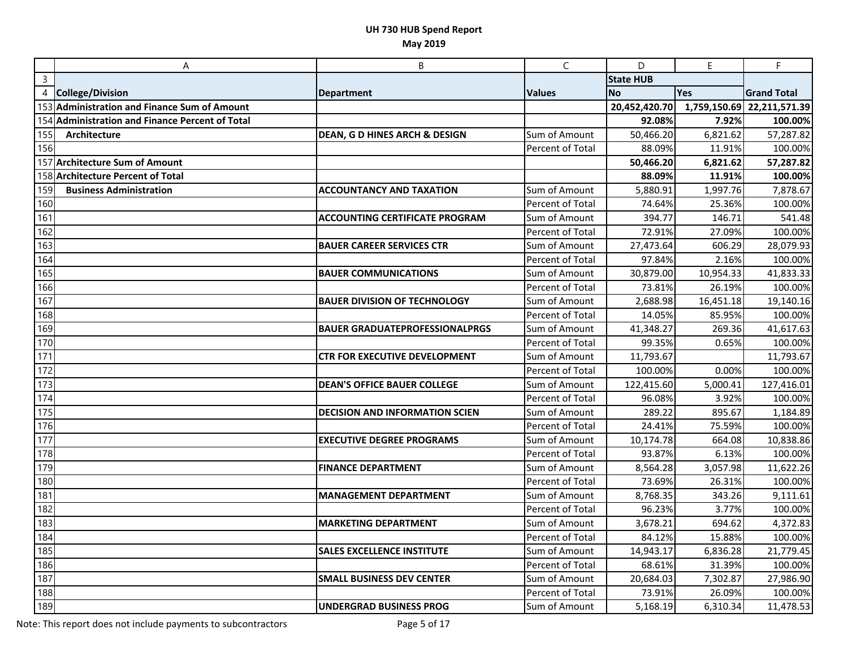|                  | A                                               | B                                     | $\mathsf{C}$     | D                | $\mathsf E$  | F.                 |
|------------------|-------------------------------------------------|---------------------------------------|------------------|------------------|--------------|--------------------|
| $\overline{3}$   |                                                 |                                       |                  | <b>State HUB</b> |              |                    |
| 4                | <b>College/Division</b>                         | <b>Department</b>                     | <b>Values</b>    | <b>No</b>        | Yes          | <b>Grand Total</b> |
|                  | 153 Administration and Finance Sum of Amount    |                                       |                  | 20,452,420.70    | 1,759,150.69 | 22,211,571.39      |
|                  | 154 Administration and Finance Percent of Total |                                       |                  | 92.08%           | 7.92%        | 100.00%            |
| 155              | Architecture                                    | DEAN, G D HINES ARCH & DESIGN         | Sum of Amount    | 50,466.20        | 6,821.62     | 57,287.82          |
| <b>156</b>       |                                                 |                                       | Percent of Total | 88.09%           | 11.91%       | 100.00%            |
|                  | 157 Architecture Sum of Amount                  |                                       |                  | 50,466.20        | 6,821.62     | 57,287.82          |
|                  | 158 Architecture Percent of Total               |                                       |                  | 88.09%           | 11.91%       | 100.00%            |
| 159              | <b>Business Administration</b>                  | <b>ACCOUNTANCY AND TAXATION</b>       | Sum of Amount    | 5,880.91         | 1,997.76     | 7,878.67           |
| 160              |                                                 |                                       | Percent of Total | 74.64%           | 25.36%       | 100.00%            |
| $\overline{161}$ |                                                 | <b>ACCOUNTING CERTIFICATE PROGRAM</b> | Sum of Amount    | 394.77           | 146.71       | 541.48             |
| 162              |                                                 |                                       | Percent of Total | 72.91%           | 27.09%       | 100.00%            |
| 163              |                                                 | <b>BAUER CAREER SERVICES CTR</b>      | Sum of Amount    | 27,473.64        | 606.29       | 28,079.93          |
| $\overline{164}$ |                                                 |                                       | Percent of Total | 97.84%           | 2.16%        | 100.00%            |
| 165              |                                                 | <b>BAUER COMMUNICATIONS</b>           | Sum of Amount    | 30,879.00        | 10,954.33    | 41,833.33          |
| 166              |                                                 |                                       | Percent of Total | 73.81%           | 26.19%       | 100.00%            |
| 167              |                                                 | <b>BAUER DIVISION OF TECHNOLOGY</b>   | Sum of Amount    | 2,688.98         | 16,451.18    | 19,140.16          |
| 168              |                                                 |                                       | Percent of Total | 14.05%           | 85.95%       | 100.00%            |
| 169              |                                                 | <b>BAUER GRADUATEPROFESSIONALPRGS</b> | Sum of Amount    | 41,348.27        | 269.36       | 41,617.63          |
| $\overline{170}$ |                                                 |                                       | Percent of Total | 99.35%           | 0.65%        | 100.00%            |
| $\sqrt{171}$     |                                                 | <b>CTR FOR EXECUTIVE DEVELOPMENT</b>  | Sum of Amount    | 11,793.67        |              | 11,793.67          |
| $\boxed{172}$    |                                                 |                                       | Percent of Total | 100.00%          | 0.00%        | 100.00%            |
| 173              |                                                 | <b>DEAN'S OFFICE BAUER COLLEGE</b>    | Sum of Amount    | 122,415.60       | 5,000.41     | 127,416.01         |
| 174              |                                                 |                                       | Percent of Total | 96.08%           | 3.92%        | 100.00%            |
| 175              |                                                 | <b>DECISION AND INFORMATION SCIEN</b> | Sum of Amount    | 289.22           | 895.67       | 1,184.89           |
| 176              |                                                 |                                       | Percent of Total | 24.41%           | 75.59%       | 100.00%            |
| $\overline{177}$ |                                                 | <b>EXECUTIVE DEGREE PROGRAMS</b>      | Sum of Amount    | 10,174.78        | 664.08       | 10,838.86          |
| 178              |                                                 |                                       | Percent of Total | 93.87%           | 6.13%        | 100.00%            |
| 179              |                                                 | <b>FINANCE DEPARTMENT</b>             | Sum of Amount    | 8,564.28         | 3,057.98     | 11,622.26          |
| 180              |                                                 |                                       | Percent of Total | 73.69%           | 26.31%       | 100.00%            |
| 181              |                                                 | <b>MANAGEMENT DEPARTMENT</b>          | Sum of Amount    | 8,768.35         | 343.26       | 9,111.61           |
| $\overline{182}$ |                                                 |                                       | Percent of Total | 96.23%           | 3.77%        | 100.00%            |
| 183              |                                                 | <b>MARKETING DEPARTMENT</b>           | Sum of Amount    | 3,678.21         | 694.62       | 4,372.83           |
| $\overline{184}$ |                                                 |                                       | Percent of Total | 84.12%           | 15.88%       | 100.00%            |
| $\overline{185}$ |                                                 | <b>SALES EXCELLENCE INSTITUTE</b>     | Sum of Amount    | 14,943.17        | 6,836.28     | 21,779.45          |
| 186              |                                                 |                                       | Percent of Total | 68.61%           | 31.39%       | 100.00%            |
| 187              |                                                 | <b>SMALL BUSINESS DEV CENTER</b>      | Sum of Amount    | 20,684.03        | 7,302.87     | 27,986.90          |
| 188              |                                                 |                                       | Percent of Total | 73.91%           | 26.09%       | 100.00%            |
| 189              |                                                 | <b>UNDERGRAD BUSINESS PROG</b>        | Sum of Amount    | 5,168.19         | 6,310.34     | 11,478.53          |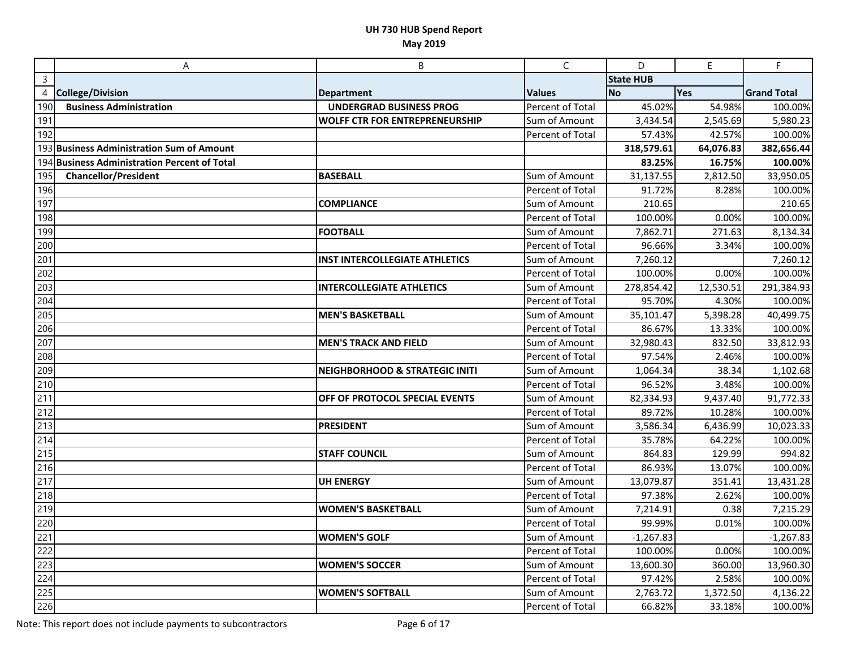|                  | A                                            | B                                         | C                | D                | E         | F.                 |
|------------------|----------------------------------------------|-------------------------------------------|------------------|------------------|-----------|--------------------|
| $\overline{3}$   |                                              |                                           |                  | <b>State HUB</b> |           |                    |
| 4                | <b>College/Division</b>                      | <b>Department</b>                         | <b>Values</b>    | <b>No</b>        | Yes       | <b>Grand Total</b> |
| 190              | <b>Business Administration</b>               | <b>UNDERGRAD BUSINESS PROG</b>            | Percent of Total | 45.02%           | 54.98%    | 100.00%            |
| 191              |                                              | <b>WOLFF CTR FOR ENTREPRENEURSHIP</b>     | Sum of Amount    | 3,434.54         | 2,545.69  | 5,980.23           |
| 192              |                                              |                                           | Percent of Total | 57.43%           | 42.57%    | 100.00%            |
|                  | 193 Business Administration Sum of Amount    |                                           |                  | 318,579.61       | 64,076.83 | 382,656.44         |
|                  | 194 Business Administration Percent of Total |                                           |                  | 83.25%           | 16.75%    | 100.00%            |
| 195              | <b>Chancellor/President</b>                  | <b>BASEBALL</b>                           | Sum of Amount    | 31,137.55        | 2,812.50  | 33,950.05          |
| 196              |                                              |                                           | Percent of Total | 91.72%           | 8.28%     | 100.00%            |
| 197              |                                              | <b>COMPLIANCE</b>                         | Sum of Amount    | 210.65           |           | 210.65             |
| 198              |                                              |                                           | Percent of Total | 100.00%          | 0.00%     | 100.00%            |
| 199              |                                              | <b>FOOTBALL</b>                           | Sum of Amount    | 7,862.71         | 271.63    | 8,134.34           |
| 200              |                                              |                                           | Percent of Total | 96.66%           | 3.34%     | 100.00%            |
| $\overline{201}$ |                                              | <b>INST INTERCOLLEGIATE ATHLETICS</b>     | Sum of Amount    | 7,260.12         |           | 7,260.12           |
| 202              |                                              |                                           | Percent of Total | 100.00%          | 0.00%     | 100.00%            |
| 203              |                                              | <b>INTERCOLLEGIATE ATHLETICS</b>          | Sum of Amount    | 278,854.42       | 12,530.51 | 291,384.93         |
| 204              |                                              |                                           | Percent of Total | 95.70%           | 4.30%     | 100.00%            |
| 205              |                                              | <b>MEN'S BASKETBALL</b>                   | Sum of Amount    | 35,101.47        | 5,398.28  | 40,499.75          |
| 206              |                                              |                                           | Percent of Total | 86.67%           | 13.33%    | 100.00%            |
| 207              |                                              | <b>MEN'S TRACK AND FIELD</b>              | Sum of Amount    | 32,980.43        | 832.50    | 33,812.93          |
| 208              |                                              |                                           | Percent of Total | 97.54%           | 2.46%     | 100.00%            |
| 209              |                                              | <b>NEIGHBORHOOD &amp; STRATEGIC INITI</b> | Sum of Amount    | 1,064.34         | 38.34     | 1,102.68           |
| 210              |                                              |                                           | Percent of Total | 96.52%           | 3.48%     | 100.00%            |
| 211              |                                              | OFF OF PROTOCOL SPECIAL EVENTS            | Sum of Amount    | 82,334.93        | 9,437.40  | 91,772.33          |
| 212              |                                              |                                           | Percent of Total | 89.72%           | 10.28%    | 100.00%            |
| 213              |                                              | <b>PRESIDENT</b>                          | Sum of Amount    | 3,586.34         | 6,436.99  | 10,023.33          |
| 214              |                                              |                                           | Percent of Total | 35.78%           | 64.22%    | 100.00%            |
| 215              |                                              | <b>STAFF COUNCIL</b>                      | Sum of Amount    | 864.83           | 129.99    | 994.82             |
| 216              |                                              |                                           | Percent of Total | 86.93%           | 13.07%    | 100.00%            |
| 217              |                                              | <b>UH ENERGY</b>                          | Sum of Amount    | 13,079.87        | 351.41    | 13,431.28          |
| 218              |                                              |                                           | Percent of Total | 97.38%           | 2.62%     | 100.00%            |
| 219              |                                              | <b>WOMEN'S BASKETBALL</b>                 | Sum of Amount    | 7,214.91         | 0.38      | 7,215.29           |
| 220              |                                              |                                           | Percent of Total | 99.99%           | 0.01%     | 100.00%            |
| 221              |                                              | <b>WOMEN'S GOLF</b>                       | Sum of Amount    | $-1,267.83$      |           | $-1,267.83$        |
| 222              |                                              |                                           | Percent of Total | 100.00%          | 0.00%     | 100.00%            |
| 223              |                                              | <b>WOMEN'S SOCCER</b>                     | Sum of Amount    | 13,600.30        | 360.00    | 13,960.30          |
| 224              |                                              |                                           | Percent of Total | 97.42%           | 2.58%     | 100.00%            |
| 225              |                                              | <b>WOMEN'S SOFTBALL</b>                   | Sum of Amount    | 2,763.72         | 1,372.50  | 4,136.22           |
| 226              |                                              |                                           | Percent of Total | 66.82%           | 33.18%    | 100.00%            |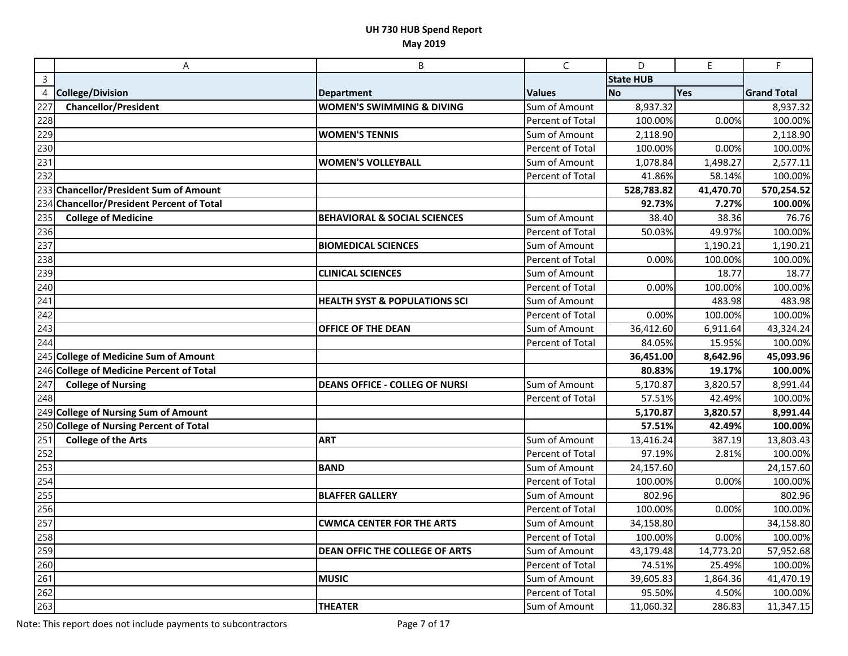|                  | A                                         | B                                        | $\mathsf{C}$            | D                | $\mathsf E$ | F                  |
|------------------|-------------------------------------------|------------------------------------------|-------------------------|------------------|-------------|--------------------|
| $\overline{3}$   |                                           |                                          |                         | <b>State HUB</b> |             |                    |
| $\overline{4}$   | <b>College/Division</b>                   | <b>Department</b>                        | <b>Values</b>           | <b>No</b>        | Yes         | <b>Grand Total</b> |
| 227              | <b>Chancellor/President</b>               | <b>WOMEN'S SWIMMING &amp; DIVING</b>     | Sum of Amount           | 8,937.32         |             | 8,937.32           |
| 228              |                                           |                                          | Percent of Total        | 100.00%          | 0.00%       | 100.00%            |
| 229              |                                           | <b>WOMEN'S TENNIS</b>                    | Sum of Amount           | 2,118.90         |             | 2,118.90           |
| 230              |                                           |                                          | Percent of Total        | 100.00%          | 0.00%       | 100.00%            |
| 231              |                                           | <b>WOMEN'S VOLLEYBALL</b>                | Sum of Amount           | 1,078.84         | 1,498.27    | 2,577.11           |
| 232              |                                           |                                          | Percent of Total        | 41.86%           | 58.14%      | 100.00%            |
|                  | 233 Chancellor/President Sum of Amount    |                                          |                         | 528,783.82       | 41,470.70   | 570,254.52         |
|                  | 234 Chancellor/President Percent of Total |                                          |                         | 92.73%           | 7.27%       | 100.00%            |
| 235              | <b>College of Medicine</b>                | <b>BEHAVIORAL &amp; SOCIAL SCIENCES</b>  | Sum of Amount           | 38.40            | 38.36       | 76.76              |
| 236              |                                           |                                          | Percent of Total        | 50.03%           | 49.97%      | 100.00%            |
| 237              |                                           | <b>BIOMEDICAL SCIENCES</b>               | Sum of Amount           |                  | 1,190.21    | 1,190.21           |
| 238              |                                           |                                          | Percent of Total        | 0.00%            | 100.00%     | 100.00%            |
| 239              |                                           | <b>CLINICAL SCIENCES</b>                 | Sum of Amount           |                  | 18.77       | 18.77              |
| 240              |                                           |                                          | Percent of Total        | 0.00%            | 100.00%     | 100.00%            |
| $\overline{241}$ |                                           | <b>HEALTH SYST &amp; POPULATIONS SCI</b> | Sum of Amount           |                  | 483.98      | 483.98             |
| 242              |                                           |                                          | Percent of Total        | 0.00%            | 100.00%     | 100.00%            |
| 243              |                                           | <b>OFFICE OF THE DEAN</b>                | Sum of Amount           | 36,412.60        | 6,911.64    | 43,324.24          |
| 244              |                                           |                                          | Percent of Total        | 84.05%           | 15.95%      | 100.00%            |
|                  | 245 College of Medicine Sum of Amount     |                                          |                         | 36,451.00        | 8,642.96    | 45,093.96          |
|                  | 246 College of Medicine Percent of Total  |                                          |                         | 80.83%           | 19.17%      | 100.00%            |
| 247              | <b>College of Nursing</b>                 | <b>DEANS OFFICE - COLLEG OF NURSI</b>    | Sum of Amount           | 5,170.87         | 3,820.57    | 8,991.44           |
| 248              |                                           |                                          | Percent of Total        | 57.51%           | 42.49%      | 100.00%            |
|                  | 249 College of Nursing Sum of Amount      |                                          |                         | 5,170.87         | 3,820.57    | 8,991.44           |
|                  | 250 College of Nursing Percent of Total   |                                          |                         | 57.51%           | 42.49%      | 100.00%            |
| $\overline{251}$ | <b>College of the Arts</b>                | <b>ART</b>                               | Sum of Amount           | 13,416.24        | 387.19      | 13,803.43          |
| 252              |                                           |                                          | Percent of Total        | 97.19%           | 2.81%       | 100.00%            |
| 253              |                                           | <b>BAND</b>                              | Sum of Amount           | 24,157.60        |             | 24,157.60          |
| 254              |                                           |                                          | Percent of Total        | 100.00%          | 0.00%       | 100.00%            |
| 255              |                                           | <b>BLAFFER GALLERY</b>                   | Sum of Amount           | 802.96           |             | 802.96             |
| 256              |                                           |                                          | Percent of Total        | 100.00%          | 0.00%       | 100.00%            |
| 257              |                                           | <b>CWMCA CENTER FOR THE ARTS</b>         | Sum of Amount           | 34,158.80        |             | 34,158.80          |
| 258              |                                           |                                          | <b>Percent of Total</b> | 100.00%          | 0.00%       | 100.00%            |
| 259              |                                           | <b>DEAN OFFIC THE COLLEGE OF ARTS</b>    | Sum of Amount           | 43,179.48        | 14,773.20   | 57,952.68          |
| 260              |                                           |                                          | Percent of Total        | 74.51%           | 25.49%      | 100.00%            |
| 261              |                                           | <b>MUSIC</b>                             | Sum of Amount           | 39,605.83        | 1,864.36    | 41,470.19          |
| 262              |                                           |                                          | Percent of Total        | 95.50%           | 4.50%       | 100.00%            |
| 263              |                                           | <b>THEATER</b>                           | Sum of Amount           | 11,060.32        | 286.83      | 11,347.15          |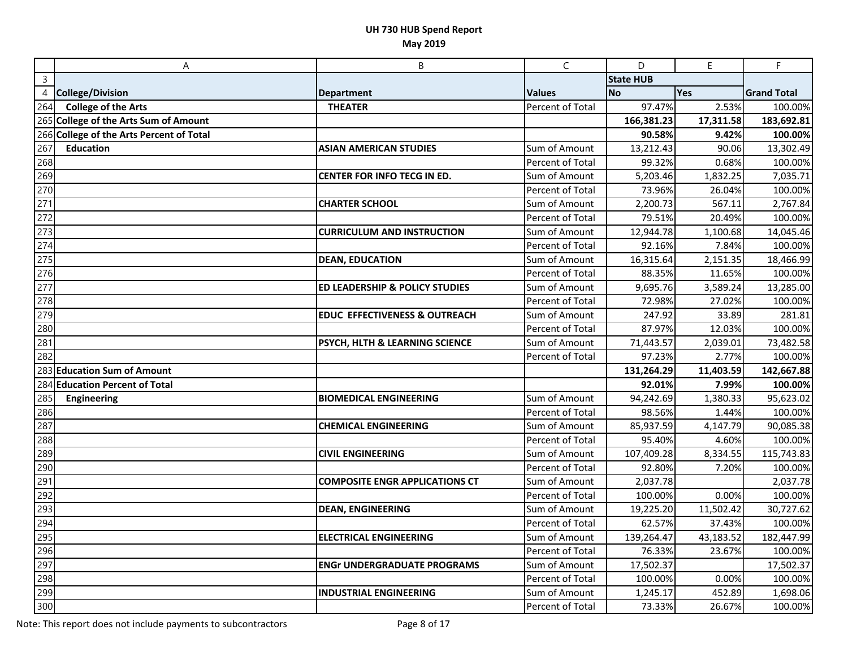|                | A                                        | B                                         | $\mathsf{C}$     | D                | E.        | $\mathsf F$        |
|----------------|------------------------------------------|-------------------------------------------|------------------|------------------|-----------|--------------------|
| $\overline{3}$ |                                          |                                           |                  | <b>State HUB</b> |           |                    |
| 4              | <b>College/Division</b>                  | <b>Department</b>                         | <b>Values</b>    | <b>No</b>        | Yes       | <b>Grand Total</b> |
| 264            | <b>College of the Arts</b>               | <b>THEATER</b>                            | Percent of Total | 97.47%           | 2.53%     | 100.00%            |
|                | 265 College of the Arts Sum of Amount    |                                           |                  | 166,381.23       | 17,311.58 | 183,692.81         |
|                | 266 College of the Arts Percent of Total |                                           |                  | 90.58%           | 9.42%     | 100.00%            |
| 267            | <b>Education</b>                         | <b>ASIAN AMERICAN STUDIES</b>             | Sum of Amount    | 13,212.43        | 90.06     | 13,302.49          |
| 268            |                                          |                                           | Percent of Total | 99.32%           | 0.68%     | 100.00%            |
| 269            |                                          | CENTER FOR INFO TECG IN ED.               | Sum of Amount    | 5,203.46         | 1,832.25  | 7,035.71           |
| 270            |                                          |                                           | Percent of Total | 73.96%           | 26.04%    | 100.00%            |
| 271            |                                          | <b>CHARTER SCHOOL</b>                     | Sum of Amount    | 2,200.73         | 567.11    | 2,767.84           |
| 272            |                                          |                                           | Percent of Total | 79.51%           | 20.49%    | 100.00%            |
| 273            |                                          | <b>CURRICULUM AND INSTRUCTION</b>         | Sum of Amount    | 12,944.78        | 1,100.68  | 14,045.46          |
| 274            |                                          |                                           | Percent of Total | 92.16%           | 7.84%     | 100.00%            |
| 275            |                                          | <b>DEAN, EDUCATION</b>                    | Sum of Amount    | 16,315.64        | 2,151.35  | 18,466.99          |
| 276            |                                          |                                           | Percent of Total | 88.35%           | 11.65%    | 100.00%            |
| 277            |                                          | <b>ED LEADERSHIP &amp; POLICY STUDIES</b> | Sum of Amount    | 9,695.76         | 3,589.24  | 13,285.00          |
| 278            |                                          |                                           | Percent of Total | 72.98%           | 27.02%    | 100.00%            |
| 279            |                                          | <b>EDUC EFFECTIVENESS &amp; OUTREACH</b>  | Sum of Amount    | 247.92           | 33.89     | 281.81             |
| 280            |                                          |                                           | Percent of Total | 87.97%           | 12.03%    | 100.00%            |
| 281            |                                          | PSYCH, HLTH & LEARNING SCIENCE            | Sum of Amount    | 71,443.57        | 2,039.01  | 73,482.58          |
| 282            |                                          |                                           | Percent of Total | 97.23%           | 2.77%     | 100.00%            |
|                | 283 Education Sum of Amount              |                                           |                  | 131,264.29       | 11,403.59 | 142,667.88         |
|                | 284 Education Percent of Total           |                                           |                  | 92.01%           | 7.99%     | 100.00%            |
| 285            | Engineering                              | <b>BIOMEDICAL ENGINEERING</b>             | Sum of Amount    | 94,242.69        | 1,380.33  | 95,623.02          |
| 286            |                                          |                                           | Percent of Total | 98.56%           | 1.44%     | 100.00%            |
| 287            |                                          | <b>CHEMICAL ENGINEERING</b>               | Sum of Amount    | 85,937.59        | 4,147.79  | 90,085.38          |
| 288            |                                          |                                           | Percent of Total | 95.40%           | 4.60%     | 100.00%            |
| 289            |                                          | <b>CIVIL ENGINEERING</b>                  | Sum of Amount    | 107,409.28       | 8,334.55  | 115,743.83         |
| 290            |                                          |                                           | Percent of Total | 92.80%           | 7.20%     | 100.00%            |
| 291            |                                          | <b>COMPOSITE ENGR APPLICATIONS CT</b>     | Sum of Amount    | 2,037.78         |           | 2,037.78           |
| 292            |                                          |                                           | Percent of Total | 100.00%          | 0.00%     | 100.00%            |
| 293            |                                          | <b>DEAN, ENGINEERING</b>                  | Sum of Amount    | 19,225.20        | 11,502.42 | 30,727.62          |
| 294            |                                          |                                           | Percent of Total | 62.57%           | 37.43%    | 100.00%            |
| 295            |                                          | <b>ELECTRICAL ENGINEERING</b>             | Sum of Amount    | 139,264.47       | 43,183.52 | 182,447.99         |
| 296            |                                          |                                           | Percent of Total | 76.33%           | 23.67%    | 100.00%            |
| 297            |                                          | <b>ENGr UNDERGRADUATE PROGRAMS</b>        | Sum of Amount    | 17,502.37        |           | 17,502.37          |
| 298            |                                          |                                           | Percent of Total | 100.00%          | 0.00%     | 100.00%            |
| 299            |                                          | <b>INDUSTRIAL ENGINEERING</b>             | Sum of Amount    | 1,245.17         | 452.89    | 1,698.06           |
| 300            |                                          |                                           | Percent of Total | 73.33%           | 26.67%    | 100.00%            |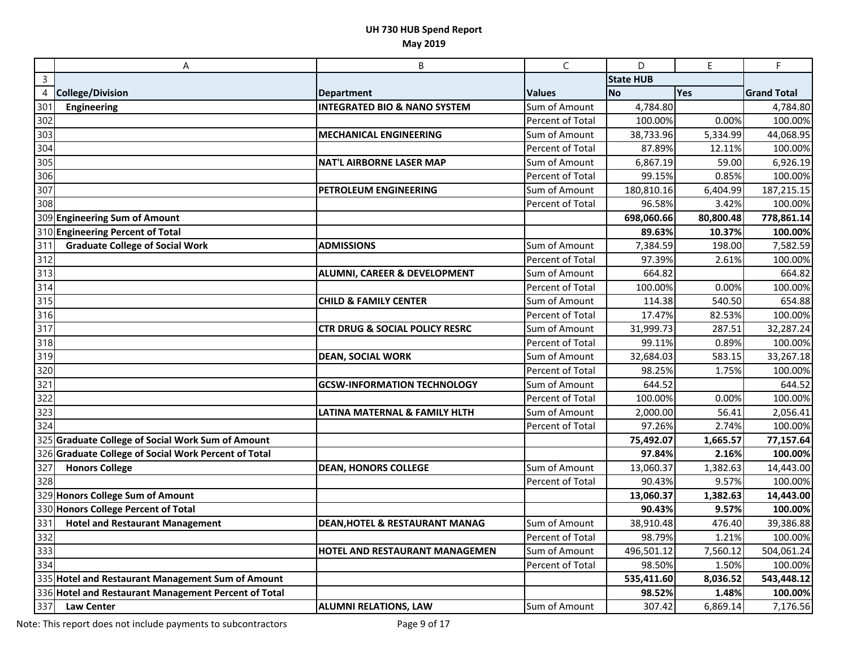|                          | A                                                    | B                                         | C                       | D                | E         | F                  |
|--------------------------|------------------------------------------------------|-------------------------------------------|-------------------------|------------------|-----------|--------------------|
| $\overline{3}$           |                                                      |                                           |                         | <b>State HUB</b> |           |                    |
| $\overline{\mathcal{L}}$ | <b>College/Division</b>                              | <b>Department</b>                         | <b>Values</b>           | No               | Yes       | <b>Grand Total</b> |
| 301                      | <b>Engineering</b>                                   | <b>INTEGRATED BIO &amp; NANO SYSTEM</b>   | Sum of Amount           | 4,784.80         |           | 4,784.80           |
| 302                      |                                                      |                                           | Percent of Total        | 100.00%          | 0.00%     | 100.00%            |
| 303                      |                                                      | <b>MECHANICAL ENGINEERING</b>             | Sum of Amount           | 38,733.96        | 5,334.99  | 44,068.95          |
| 304                      |                                                      |                                           | Percent of Total        | 87.89%           | 12.11%    | 100.00%            |
| 305                      |                                                      | <b>NAT'L AIRBORNE LASER MAP</b>           | Sum of Amount           | 6,867.19         | 59.00     | 6,926.19           |
| 306                      |                                                      |                                           | Percent of Total        | 99.15%           | 0.85%     | 100.00%            |
| 307                      |                                                      | PETROLEUM ENGINEERING                     | Sum of Amount           | 180,810.16       | 6,404.99  | 187,215.15         |
| 308                      |                                                      |                                           | Percent of Total        | 96.58%           | 3.42%     | 100.00%            |
|                          | 309 Engineering Sum of Amount                        |                                           |                         | 698,060.66       | 80,800.48 | 778,861.14         |
|                          | 310 Engineering Percent of Total                     |                                           |                         | 89.63%           | 10.37%    | 100.00%            |
| 311                      | <b>Graduate College of Social Work</b>               | <b>ADMISSIONS</b>                         | Sum of Amount           | 7,384.59         | 198.00    | 7,582.59           |
| 312                      |                                                      |                                           | Percent of Total        | 97.39%           | 2.61%     | 100.00%            |
| 313                      |                                                      | ALUMNI, CAREER & DEVELOPMENT              | Sum of Amount           | 664.82           |           | 664.82             |
| 314                      |                                                      |                                           | Percent of Total        | 100.00%          | 0.00%     | 100.00%            |
| 315                      |                                                      | <b>CHILD &amp; FAMILY CENTER</b>          | Sum of Amount           | 114.38           | 540.50    | 654.88             |
| 316                      |                                                      |                                           | Percent of Total        | 17.47%           | 82.53%    | 100.00%            |
| 317                      |                                                      | <b>CTR DRUG &amp; SOCIAL POLICY RESRC</b> | Sum of Amount           | 31,999.73        | 287.51    | 32,287.24          |
| 318                      |                                                      |                                           | Percent of Total        | 99.11%           | 0.89%     | 100.00%            |
| 319                      |                                                      | <b>DEAN, SOCIAL WORK</b>                  | Sum of Amount           | 32,684.03        | 583.15    | 33,267.18          |
| 320                      |                                                      |                                           | <b>Percent of Total</b> | 98.25%           | 1.75%     | 100.00%            |
| 321                      |                                                      | <b>GCSW-INFORMATION TECHNOLOGY</b>        | Sum of Amount           | 644.52           |           | 644.52             |
| 322                      |                                                      |                                           | Percent of Total        | 100.00%          | 0.00%     | 100.00%            |
| 323                      |                                                      | LATINA MATERNAL & FAMILY HLTH             | Sum of Amount           | 2,000.00         | 56.41     | 2,056.41           |
| 324                      |                                                      |                                           | Percent of Total        | 97.26%           | 2.74%     | 100.00%            |
|                          | 325 Graduate College of Social Work Sum of Amount    |                                           |                         | 75,492.07        | 1,665.57  | 77,157.64          |
|                          | 326 Graduate College of Social Work Percent of Total |                                           |                         | 97.84%           | 2.16%     | 100.00%            |
| 327                      | <b>Honors College</b>                                | <b>DEAN, HONORS COLLEGE</b>               | Sum of Amount           | 13,060.37        | 1,382.63  | 14,443.00          |
| 328                      |                                                      |                                           | Percent of Total        | 90.43%           | 9.57%     | 100.00%            |
|                          | 329 Honors College Sum of Amount                     |                                           |                         | 13,060.37        | 1,382.63  | 14,443.00          |
|                          | 330 Honors College Percent of Total                  |                                           |                         | 90.43%           | 9.57%     | 100.00%            |
| 331                      | <b>Hotel and Restaurant Management</b>               | <b>DEAN, HOTEL &amp; RESTAURANT MANAG</b> | Sum of Amount           | 38,910.48        | 476.40    | 39,386.88          |
| 332                      |                                                      |                                           | Percent of Total        | 98.79%           | 1.21%     | 100.00%            |
| 333                      |                                                      | HOTEL AND RESTAURANT MANAGEMEN            | Sum of Amount           | 496,501.12       | 7,560.12  | 504,061.24         |
| 334                      |                                                      |                                           | Percent of Total        | 98.50%           | 1.50%     | 100.00%            |
|                          | 335 Hotel and Restaurant Management Sum of Amount    |                                           |                         | 535,411.60       | 8,036.52  | 543,448.12         |
|                          | 336 Hotel and Restaurant Management Percent of Total |                                           |                         | 98.52%           | 1.48%     | 100.00%            |
| 337                      | <b>Law Center</b>                                    | <b>ALUMNI RELATIONS, LAW</b>              | Sum of Amount           | 307.42           | 6,869.14  | 7,176.56           |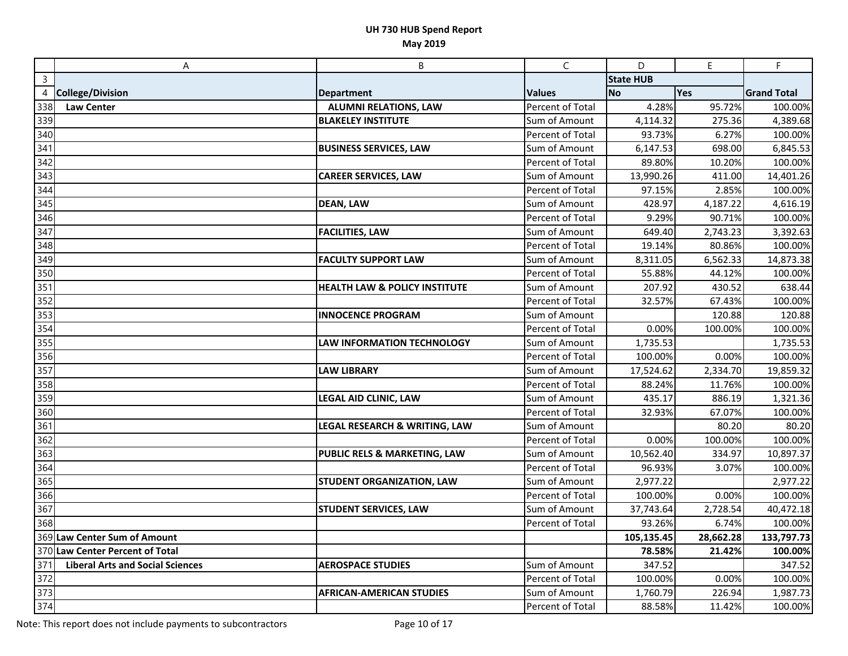|                | A                                       | $\sf B$                                  | $\mathsf{C}$     | D                | $\mathsf E$ | F                  |
|----------------|-----------------------------------------|------------------------------------------|------------------|------------------|-------------|--------------------|
| $\overline{3}$ |                                         |                                          |                  | <b>State HUB</b> |             |                    |
| 4              | <b>College/Division</b>                 | <b>Department</b>                        | <b>Values</b>    | <b>No</b>        | Yes         | <b>Grand Total</b> |
| 338            | Law Center                              | <b>ALUMNI RELATIONS, LAW</b>             | Percent of Total | 4.28%            | 95.72%      | 100.00%            |
| 339            |                                         | <b>BLAKELEY INSTITUTE</b>                | Sum of Amount    | 4,114.32         | 275.36      | 4,389.68           |
| 340            |                                         |                                          | Percent of Total | 93.73%           | 6.27%       | 100.00%            |
| 341            |                                         | <b>BUSINESS SERVICES, LAW</b>            | Sum of Amount    | 6,147.53         | 698.00      | 6,845.53           |
| 342            |                                         |                                          | Percent of Total | 89.80%           | 10.20%      | 100.00%            |
| 343            |                                         | <b>CAREER SERVICES, LAW</b>              | Sum of Amount    | 13,990.26        | 411.00      | 14,401.26          |
| 344            |                                         |                                          | Percent of Total | 97.15%           | 2.85%       | 100.00%            |
| 345            |                                         | <b>DEAN, LAW</b>                         | Sum of Amount    | 428.97           | 4,187.22    | 4,616.19           |
| 346            |                                         |                                          | Percent of Total | 9.29%            | 90.71%      | 100.00%            |
| 347            |                                         | <b>FACILITIES, LAW</b>                   | Sum of Amount    | 649.40           | 2,743.23    | 3,392.63           |
| 348            |                                         |                                          | Percent of Total | 19.14%           | 80.86%      | 100.00%            |
| 349            |                                         | <b>FACULTY SUPPORT LAW</b>               | Sum of Amount    | 8,311.05         | 6,562.33    | 14,873.38          |
| 350            |                                         |                                          | Percent of Total | 55.88%           | 44.12%      | 100.00%            |
| 351            |                                         | <b>HEALTH LAW &amp; POLICY INSTITUTE</b> | Sum of Amount    | 207.92           | 430.52      | 638.44             |
| 352            |                                         |                                          | Percent of Total | 32.57%           | 67.43%      | 100.00%            |
| 353            |                                         | <b>INNOCENCE PROGRAM</b>                 | Sum of Amount    |                  | 120.88      | 120.88             |
| 354            |                                         |                                          | Percent of Total | 0.00%            | 100.00%     | 100.00%            |
| 355            |                                         | <b>LAW INFORMATION TECHNOLOGY</b>        | Sum of Amount    | 1,735.53         |             | 1,735.53           |
| 356            |                                         |                                          | Percent of Total | 100.00%          | 0.00%       | 100.00%            |
| 357            |                                         | <b>LAW LIBRARY</b>                       | Sum of Amount    | 17,524.62        | 2,334.70    | 19,859.32          |
| 358            |                                         |                                          | Percent of Total | 88.24%           | 11.76%      | 100.00%            |
| 359            |                                         | LEGAL AID CLINIC, LAW                    | Sum of Amount    | 435.17           | 886.19      | 1,321.36           |
| 360            |                                         |                                          | Percent of Total | 32.93%           | 67.07%      | 100.00%            |
| 361            |                                         | LEGAL RESEARCH & WRITING, LAW            | Sum of Amount    |                  | 80.20       | 80.20              |
| 362            |                                         |                                          | Percent of Total | 0.00%            | 100.00%     | 100.00%            |
| 363            |                                         | PUBLIC RELS & MARKETING, LAW             | Sum of Amount    | 10,562.40        | 334.97      | 10,897.37          |
| 364            |                                         |                                          | Percent of Total | 96.93%           | 3.07%       | 100.00%            |
| 365            |                                         | <b>STUDENT ORGANIZATION, LAW</b>         | Sum of Amount    | 2,977.22         |             | 2,977.22           |
| 366            |                                         |                                          | Percent of Total | 100.00%          | 0.00%       | 100.00%            |
| 367            |                                         | <b>STUDENT SERVICES, LAW</b>             | Sum of Amount    | 37,743.64        | 2,728.54    | 40,472.18          |
| 368            |                                         |                                          | Percent of Total | 93.26%           | 6.74%       | 100.00%            |
|                | 369 Law Center Sum of Amount            |                                          |                  | 105,135.45       | 28,662.28   | 133,797.73         |
|                | 370 Law Center Percent of Total         |                                          |                  | 78.58%           | 21.42%      | 100.00%            |
| 371            | <b>Liberal Arts and Social Sciences</b> | <b>AEROSPACE STUDIES</b>                 | Sum of Amount    | 347.52           |             | 347.52             |
| 372            |                                         |                                          | Percent of Total | 100.00%          | 0.00%       | 100.00%            |
| 373            |                                         | <b>AFRICAN-AMERICAN STUDIES</b>          | Sum of Amount    | 1,760.79         | 226.94      | 1,987.73           |
| 374            |                                         |                                          | Percent of Total | 88.58%           | 11.42%      | 100.00%            |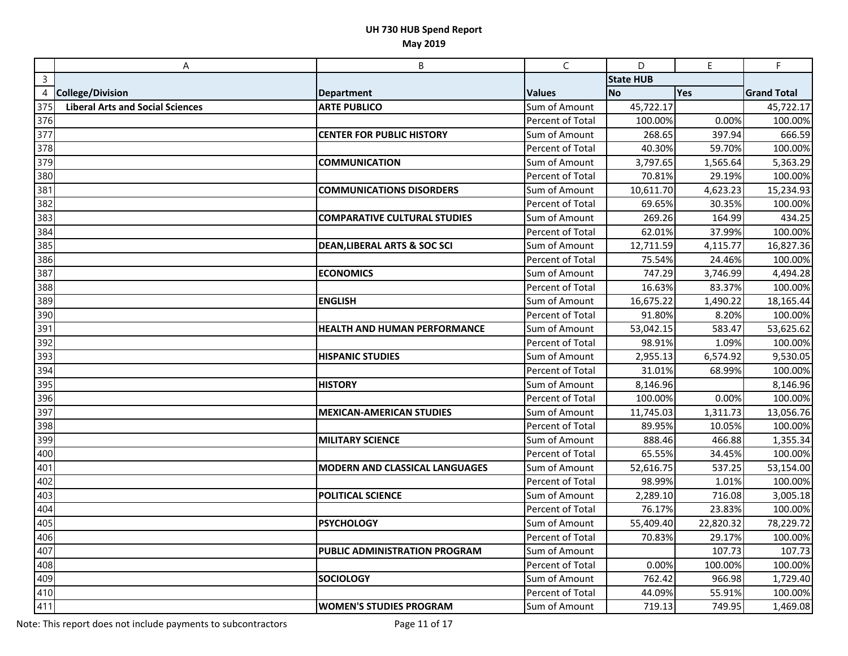|                | A                                       | B                                       | $\mathsf{C}$     | D                | $\mathsf E$ | F.                 |
|----------------|-----------------------------------------|-----------------------------------------|------------------|------------------|-------------|--------------------|
| $\overline{3}$ |                                         |                                         |                  | <b>State HUB</b> |             |                    |
| 4              | <b>College/Division</b>                 | <b>Department</b>                       | <b>Values</b>    | No               | Yes         | <b>Grand Total</b> |
| 375            | <b>Liberal Arts and Social Sciences</b> | <b>ARTE PUBLICO</b>                     | Sum of Amount    | 45,722.17        |             | 45,722.17          |
| 376            |                                         |                                         | Percent of Total | 100.00%          | 0.00%       | 100.00%            |
| 377            |                                         | <b>CENTER FOR PUBLIC HISTORY</b>        | Sum of Amount    | 268.65           | 397.94      | 666.59             |
| 378            |                                         |                                         | Percent of Total | 40.30%           | 59.70%      | 100.00%            |
| 379            |                                         | <b>COMMUNICATION</b>                    | Sum of Amount    | 3,797.65         | 1,565.64    | 5,363.29           |
| 380            |                                         |                                         | Percent of Total | 70.81%           | 29.19%      | 100.00%            |
| 381            |                                         | <b>COMMUNICATIONS DISORDERS</b>         | Sum of Amount    | 10,611.70        | 4,623.23    | 15,234.93          |
| 382            |                                         |                                         | Percent of Total | 69.65%           | 30.35%      | 100.00%            |
| 383            |                                         | <b>COMPARATIVE CULTURAL STUDIES</b>     | Sum of Amount    | 269.26           | 164.99      | 434.25             |
| 384            |                                         |                                         | Percent of Total | 62.01%           | 37.99%      | 100.00%            |
| 385            |                                         | <b>DEAN, LIBERAL ARTS &amp; SOC SCI</b> | Sum of Amount    | 12,711.59        | 4,115.77    | 16,827.36          |
| 386            |                                         |                                         | Percent of Total | 75.54%           | 24.46%      | 100.00%            |
| 387            |                                         | <b>ECONOMICS</b>                        | Sum of Amount    | 747.29           | 3,746.99    | 4,494.28           |
| 388            |                                         |                                         | Percent of Total | 16.63%           | 83.37%      | 100.00%            |
| 389            |                                         | <b>ENGLISH</b>                          | Sum of Amount    | 16,675.22        | 1,490.22    | 18,165.44          |
| 390            |                                         |                                         | Percent of Total | 91.80%           | 8.20%       | 100.00%            |
| 391            |                                         | <b>HEALTH AND HUMAN PERFORMANCE</b>     | Sum of Amount    | 53,042.15        | 583.47      | 53,625.62          |
| 392            |                                         |                                         | Percent of Total | 98.91%           | 1.09%       | 100.00%            |
| 393            |                                         | <b>HISPANIC STUDIES</b>                 | Sum of Amount    | 2,955.13         | 6,574.92    | 9,530.05           |
| 394            |                                         |                                         | Percent of Total | 31.01%           | 68.99%      | 100.00%            |
| 395            |                                         | <b>HISTORY</b>                          | Sum of Amount    | 8,146.96         |             | 8,146.96           |
| 396            |                                         |                                         | Percent of Total | 100.00%          | 0.00%       | 100.00%            |
| 397            |                                         | <b>MEXICAN-AMERICAN STUDIES</b>         | Sum of Amount    | 11,745.03        | 1,311.73    | 13,056.76          |
| 398            |                                         |                                         | Percent of Total | 89.95%           | 10.05%      | 100.00%            |
| 399            |                                         | <b>MILITARY SCIENCE</b>                 | Sum of Amount    | 888.46           | 466.88      | 1,355.34           |
| 400            |                                         |                                         | Percent of Total | 65.55%           | 34.45%      | 100.00%            |
| 401            |                                         | <b>MODERN AND CLASSICAL LANGUAGES</b>   | Sum of Amount    | 52,616.75        | 537.25      | 53,154.00          |
| 402            |                                         |                                         | Percent of Total | 98.99%           | 1.01%       | 100.00%            |
| 403            |                                         | POLITICAL SCIENCE                       | Sum of Amount    | 2,289.10         | 716.08      | 3,005.18           |
| 404            |                                         |                                         | Percent of Total | 76.17%           | 23.83%      | 100.00%            |
| 405            |                                         | <b>PSYCHOLOGY</b>                       | Sum of Amount    | 55,409.40        | 22,820.32   | 78,229.72          |
| 406            |                                         |                                         | Percent of Total | 70.83%           | 29.17%      | 100.00%            |
| 407            |                                         | PUBLIC ADMINISTRATION PROGRAM           | Sum of Amount    |                  | 107.73      | 107.73             |
| 408            |                                         |                                         | Percent of Total | 0.00%            | 100.00%     | 100.00%            |
| 409            |                                         | <b>SOCIOLOGY</b>                        | Sum of Amount    | 762.42           | 966.98      | 1,729.40           |
| 410            |                                         |                                         | Percent of Total | 44.09%           | 55.91%      | 100.00%            |
| 411            |                                         | <b>WOMEN'S STUDIES PROGRAM</b>          | Sum of Amount    | 719.13           | 749.95      | 1,469.08           |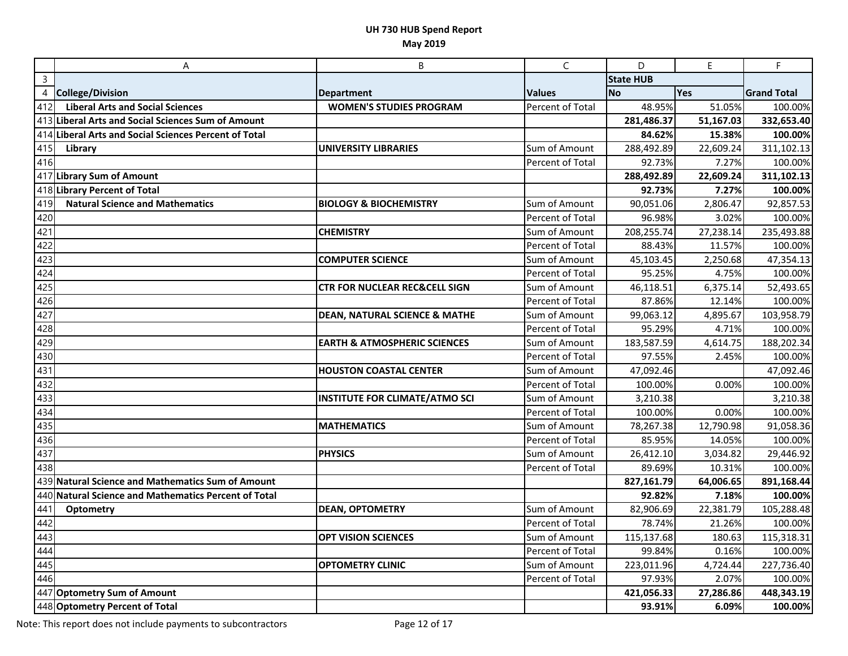|                   | $\overline{A}$                                        | B                                        | $\mathsf{C}$     | D                | $\mathsf E$ | F.                 |
|-------------------|-------------------------------------------------------|------------------------------------------|------------------|------------------|-------------|--------------------|
| $\overline{3}$    |                                                       |                                          |                  | <b>State HUB</b> |             |                    |
| 4                 | <b>College/Division</b>                               | <b>Department</b>                        | <b>Values</b>    | <b>No</b>        | Yes         | <b>Grand Total</b> |
| 412               | <b>Liberal Arts and Social Sciences</b>               | <b>WOMEN'S STUDIES PROGRAM</b>           | Percent of Total | 48.95%           | 51.05%      | 100.00%            |
|                   | 413 Liberal Arts and Social Sciences Sum of Amount    |                                          |                  | 281,486.37       | 51,167.03   | 332,653.40         |
|                   | 414 Liberal Arts and Social Sciences Percent of Total |                                          |                  | 84.62%           | 15.38%      | 100.00%            |
| 415               | Library                                               | <b>UNIVERSITY LIBRARIES</b>              | Sum of Amount    | 288,492.89       | 22,609.24   | 311,102.13         |
| $\overline{4}$ 16 |                                                       |                                          | Percent of Total | 92.73%           | 7.27%       | 100.00%            |
|                   | 417 Library Sum of Amount                             |                                          |                  | 288,492.89       | 22,609.24   | 311,102.13         |
|                   | 418 Library Percent of Total                          |                                          |                  | 92.73%           | 7.27%       | 100.00%            |
| 419               | <b>Natural Science and Mathematics</b>                | <b>BIOLOGY &amp; BIOCHEMISTRY</b>        | Sum of Amount    | 90,051.06        | 2,806.47    | 92,857.53          |
| 420               |                                                       |                                          | Percent of Total | 96.98%           | 3.02%       | 100.00%            |
| 421               |                                                       | <b>CHEMISTRY</b>                         | Sum of Amount    | 208,255.74       | 27,238.14   | 235,493.88         |
| 422               |                                                       |                                          | Percent of Total | 88.43%           | 11.57%      | 100.00%            |
| 423               |                                                       | <b>COMPUTER SCIENCE</b>                  | Sum of Amount    | 45,103.45        | 2,250.68    | 47,354.13          |
| 424               |                                                       |                                          | Percent of Total | 95.25%           | 4.75%       | 100.00%            |
| 425               |                                                       | <b>CTR FOR NUCLEAR REC&amp;CELL SIGN</b> | Sum of Amount    | 46,118.51        | 6,375.14    | 52,493.65          |
| 426               |                                                       |                                          | Percent of Total | 87.86%           | 12.14%      | 100.00%            |
| 427               |                                                       | <b>DEAN, NATURAL SCIENCE &amp; MATHE</b> | Sum of Amount    | 99,063.12        | 4,895.67    | 103,958.79         |
| 428               |                                                       |                                          | Percent of Total | 95.29%           | 4.71%       | 100.00%            |
| 429               |                                                       | <b>EARTH &amp; ATMOSPHERIC SCIENCES</b>  | Sum of Amount    | 183,587.59       | 4,614.75    | 188,202.34         |
| 430               |                                                       |                                          | Percent of Total | 97.55%           | 2.45%       | 100.00%            |
| 431               |                                                       | <b>HOUSTON COASTAL CENTER</b>            | Sum of Amount    | 47,092.46        |             | 47,092.46          |
| 432               |                                                       |                                          | Percent of Total | 100.00%          | 0.00%       | 100.00%            |
| 433               |                                                       | <b>INSTITUTE FOR CLIMATE/ATMO SCI</b>    | Sum of Amount    | 3,210.38         |             | 3,210.38           |
| 434               |                                                       |                                          | Percent of Total | 100.00%          | 0.00%       | 100.00%            |
| 435               |                                                       | <b>MATHEMATICS</b>                       | Sum of Amount    | 78,267.38        | 12,790.98   | 91,058.36          |
| 436               |                                                       |                                          | Percent of Total | 85.95%           | 14.05%      | 100.00%            |
| 437               |                                                       | <b>PHYSICS</b>                           | Sum of Amount    | 26,412.10        | 3,034.82    | 29,446.92          |
| 438               |                                                       |                                          | Percent of Total | 89.69%           | 10.31%      | 100.00%            |
|                   | 439 Natural Science and Mathematics Sum of Amount     |                                          |                  | 827,161.79       | 64,006.65   | 891,168.44         |
|                   | 440 Natural Science and Mathematics Percent of Total  |                                          |                  | 92.82%           | 7.18%       | 100.00%            |
| 441               | <b>Optometry</b>                                      | <b>DEAN, OPTOMETRY</b>                   | Sum of Amount    | 82,906.69        | 22,381.79   | 105,288.48         |
| 442               |                                                       |                                          | Percent of Total | 78.74%           | 21.26%      | 100.00%            |
| 443               |                                                       | <b>OPT VISION SCIENCES</b>               | Sum of Amount    | 115,137.68       | 180.63      | 115,318.31         |
| 444               |                                                       |                                          | Percent of Total | 99.84%           | 0.16%       | 100.00%            |
| 445               |                                                       | <b>OPTOMETRY CLINIC</b>                  | Sum of Amount    | 223,011.96       | 4,724.44    | 227,736.40         |
| 446               |                                                       |                                          | Percent of Total | 97.93%           | 2.07%       | 100.00%            |
|                   | 447 Optometry Sum of Amount                           |                                          |                  | 421,056.33       | 27,286.86   | 448,343.19         |
|                   | 448 Optometry Percent of Total                        |                                          |                  | 93.91%           | 6.09%       | 100.00%            |

Note: This report does not include payments to subcontractors Page 12 of 17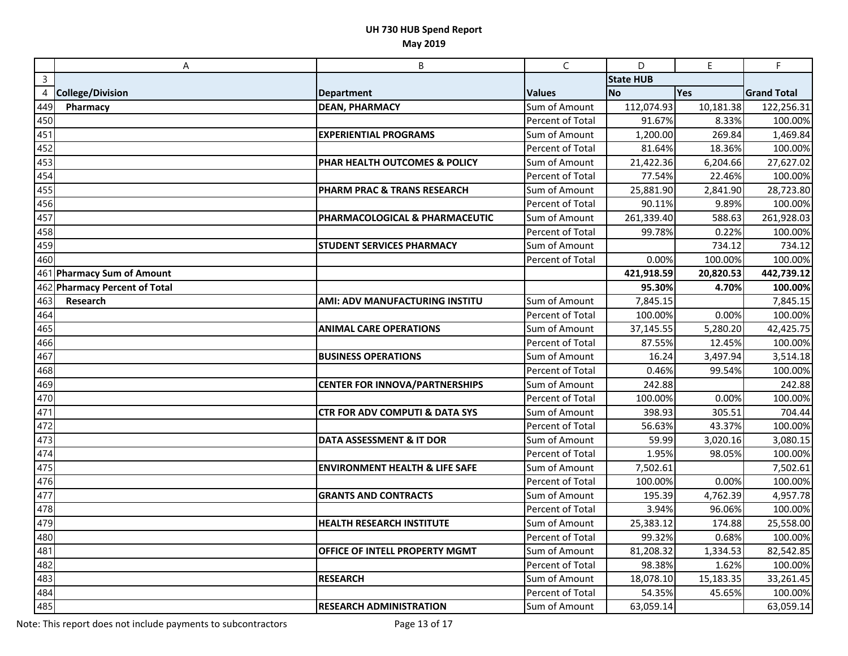|     | Α                             | B                                         | C                | D                | $\mathsf E$ | F                  |
|-----|-------------------------------|-------------------------------------------|------------------|------------------|-------------|--------------------|
| 3   |                               |                                           |                  | <b>State HUB</b> |             |                    |
| 4   | <b>College/Division</b>       | <b>Department</b>                         | <b>Values</b>    | No               | Yes         | <b>Grand Total</b> |
| 449 | Pharmacy                      | <b>DEAN, PHARMACY</b>                     | Sum of Amount    | 112,074.93       | 10,181.38   | 122,256.31         |
| 450 |                               |                                           | Percent of Total | 91.67%           | 8.33%       | 100.00%            |
| 451 |                               | <b>EXPERIENTIAL PROGRAMS</b>              | Sum of Amount    | 1,200.00         | 269.84      | 1,469.84           |
| 452 |                               |                                           | Percent of Total | 81.64%           | 18.36%      | 100.00%            |
| 453 |                               | PHAR HEALTH OUTCOMES & POLICY             | Sum of Amount    | 21,422.36        | 6,204.66    | 27,627.02          |
| 454 |                               |                                           | Percent of Total | 77.54%           | 22.46%      | 100.00%            |
| 455 |                               | PHARM PRAC & TRANS RESEARCH               | Sum of Amount    | 25,881.90        | 2,841.90    | 28,723.80          |
| 456 |                               |                                           | Percent of Total | 90.11%           | 9.89%       | 100.00%            |
| 457 |                               | PHARMACOLOGICAL & PHARMACEUTIC            | Sum of Amount    | 261,339.40       | 588.63      | 261,928.03         |
| 458 |                               |                                           | Percent of Total | 99.78%           | 0.22%       | 100.00%            |
| 459 |                               | <b>STUDENT SERVICES PHARMACY</b>          | Sum of Amount    |                  | 734.12      | 734.12             |
| 460 |                               |                                           | Percent of Total | 0.00%            | 100.00%     | 100.00%            |
|     | 461 Pharmacy Sum of Amount    |                                           |                  | 421,918.59       | 20,820.53   | 442,739.12         |
|     | 462 Pharmacy Percent of Total |                                           |                  | 95.30%           | 4.70%       | 100.00%            |
| 463 | Research                      | AMI: ADV MANUFACTURING INSTITU            | Sum of Amount    | 7,845.15         |             | 7,845.15           |
| 464 |                               |                                           | Percent of Total | 100.00%          | 0.00%       | 100.00%            |
| 465 |                               | <b>ANIMAL CARE OPERATIONS</b>             | Sum of Amount    | 37,145.55        | 5,280.20    | 42,425.75          |
| 466 |                               |                                           | Percent of Total | 87.55%           | 12.45%      | 100.00%            |
| 467 |                               | <b>BUSINESS OPERATIONS</b>                | Sum of Amount    | 16.24            | 3,497.94    | 3,514.18           |
| 468 |                               |                                           | Percent of Total | 0.46%            | 99.54%      | 100.00%            |
| 469 |                               | <b>CENTER FOR INNOVA/PARTNERSHIPS</b>     | Sum of Amount    | 242.88           |             | 242.88             |
| 470 |                               |                                           | Percent of Total | 100.00%          | 0.00%       | 100.00%            |
| 471 |                               | <b>CTR FOR ADV COMPUTI &amp; DATA SYS</b> | Sum of Amount    | 398.93           | 305.51      | 704.44             |
| 472 |                               |                                           | Percent of Total | 56.63%           | 43.37%      | 100.00%            |
| 473 |                               | DATA ASSESSMENT & IT DOR                  | Sum of Amount    | 59.99            | 3,020.16    | 3,080.15           |
| 474 |                               |                                           | Percent of Total | 1.95%            | 98.05%      | 100.00%            |
| 475 |                               | <b>ENVIRONMENT HEALTH &amp; LIFE SAFE</b> | Sum of Amount    | 7,502.61         |             | 7,502.61           |
| 476 |                               |                                           | Percent of Total | 100.00%          | 0.00%       | 100.00%            |
| 477 |                               | <b>GRANTS AND CONTRACTS</b>               | Sum of Amount    | 195.39           | 4,762.39    | 4,957.78           |
| 478 |                               |                                           | Percent of Total | 3.94%            | 96.06%      | 100.00%            |
| 479 |                               | HEALTH RESEARCH INSTITUTE                 | Sum of Amount    | 25,383.12        | 174.88      | 25,558.00          |
| 480 |                               |                                           | Percent of Total | 99.32%           | 0.68%       | 100.00%            |
| 481 |                               | OFFICE OF INTELL PROPERTY MGMT            | Sum of Amount    | 81,208.32        | 1,334.53    | 82,542.85          |
| 482 |                               |                                           | Percent of Total | 98.38%           | 1.62%       | 100.00%            |
| 483 |                               | <b>RESEARCH</b>                           | Sum of Amount    | 18,078.10        | 15,183.35   | 33,261.45          |
| 484 |                               |                                           | Percent of Total | 54.35%           | 45.65%      | 100.00%            |
| 485 |                               | <b>RESEARCH ADMINISTRATION</b>            | Sum of Amount    | 63,059.14        |             | 63,059.14          |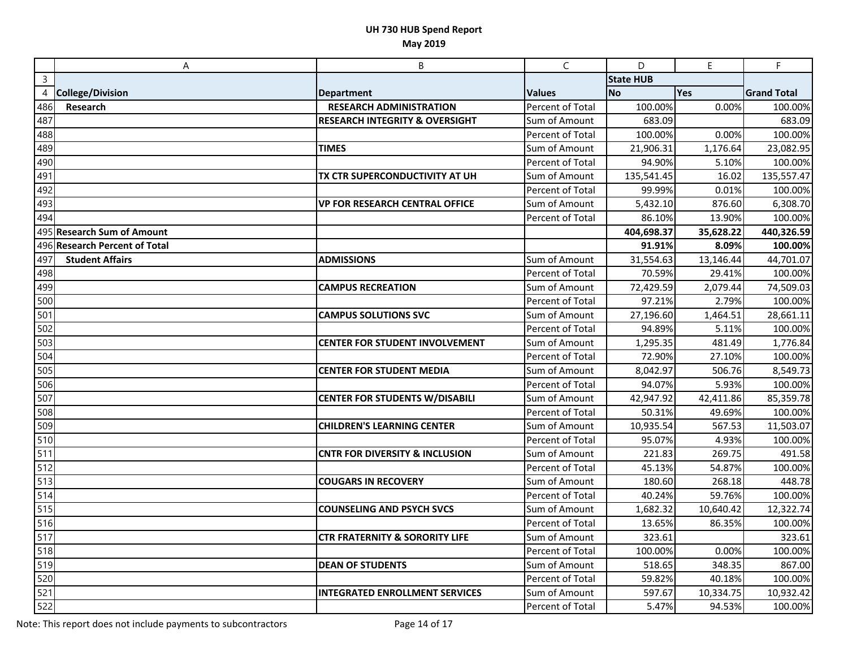|              | Α                             | B                                         | C                | D                | E         | F                  |
|--------------|-------------------------------|-------------------------------------------|------------------|------------------|-----------|--------------------|
| $\mathsf{3}$ |                               |                                           |                  | <b>State HUB</b> |           |                    |
| 4            | <b>College/Division</b>       | <b>Department</b>                         | <b>Values</b>    | No               | Yes       | <b>Grand Total</b> |
| 486          | Research                      | <b>RESEARCH ADMINISTRATION</b>            | Percent of Total | 100.00%          | 0.00%     | 100.00%            |
| 487          |                               | <b>RESEARCH INTEGRITY &amp; OVERSIGHT</b> | Sum of Amount    | 683.09           |           | 683.09             |
| 488          |                               |                                           | Percent of Total | 100.00%          | 0.00%     | 100.00%            |
| 489          |                               | <b>TIMES</b>                              | Sum of Amount    | 21,906.31        | 1,176.64  | 23,082.95          |
| 490          |                               |                                           | Percent of Total | 94.90%           | 5.10%     | 100.00%            |
| 491          |                               | TX CTR SUPERCONDUCTIVITY AT UH            | Sum of Amount    | 135,541.45       | 16.02     | 135,557.47         |
| 492          |                               |                                           | Percent of Total | 99.99%           | 0.01%     | 100.00%            |
| 493          |                               | <b>VP FOR RESEARCH CENTRAL OFFICE</b>     | Sum of Amount    | 5,432.10         | 876.60    | 6,308.70           |
| 494          |                               |                                           | Percent of Total | 86.10%           | 13.90%    | 100.00%            |
|              | 495 Research Sum of Amount    |                                           |                  | 404,698.37       | 35,628.22 | 440,326.59         |
|              | 496 Research Percent of Total |                                           |                  | 91.91%           | 8.09%     | 100.00%            |
| 497          | <b>Student Affairs</b>        | <b>ADMISSIONS</b>                         | Sum of Amount    | 31,554.63        | 13,146.44 | 44,701.07          |
| 498          |                               |                                           | Percent of Total | 70.59%           | 29.41%    | 100.00%            |
| 499          |                               | <b>CAMPUS RECREATION</b>                  | Sum of Amount    | 72,429.59        | 2,079.44  | 74,509.03          |
| 500          |                               |                                           | Percent of Total | 97.21%           | 2.79%     | 100.00%            |
| 501          |                               | <b>CAMPUS SOLUTIONS SVC</b>               | Sum of Amount    | 27,196.60        | 1,464.51  | 28,661.11          |
| 502          |                               |                                           | Percent of Total | 94.89%           | 5.11%     | 100.00%            |
| 503          |                               | <b>CENTER FOR STUDENT INVOLVEMENT</b>     | Sum of Amount    | 1,295.35         | 481.49    | 1,776.84           |
| 504          |                               |                                           | Percent of Total | 72.90%           | 27.10%    | 100.00%            |
| 505          |                               | <b>CENTER FOR STUDENT MEDIA</b>           | Sum of Amount    | 8,042.97         | 506.76    | 8,549.73           |
| 506          |                               |                                           | Percent of Total | 94.07%           | 5.93%     | 100.00%            |
| 507          |                               | <b>CENTER FOR STUDENTS W/DISABILI</b>     | Sum of Amount    | 42,947.92        | 42,411.86 | 85,359.78          |
| 508          |                               |                                           | Percent of Total | 50.31%           | 49.69%    | 100.00%            |
| 509          |                               | <b>CHILDREN'S LEARNING CENTER</b>         | Sum of Amount    | 10,935.54        | 567.53    | 11,503.07          |
| 510          |                               |                                           | Percent of Total | 95.07%           | 4.93%     | 100.00%            |
| 511          |                               | <b>CNTR FOR DIVERSITY &amp; INCLUSION</b> | Sum of Amount    | 221.83           | 269.75    | 491.58             |
| 512          |                               |                                           | Percent of Total | 45.13%           | 54.87%    | 100.00%            |
| 513          |                               | <b>COUGARS IN RECOVERY</b>                | Sum of Amount    | 180.60           | 268.18    | 448.78             |
| 514          |                               |                                           | Percent of Total | 40.24%           | 59.76%    | 100.00%            |
| 515          |                               | <b>COUNSELING AND PSYCH SVCS</b>          | Sum of Amount    | 1,682.32         | 10,640.42 | 12,322.74          |
| 516          |                               |                                           | Percent of Total | 13.65%           | 86.35%    | 100.00%            |
| 517          |                               | <b>CTR FRATERNITY &amp; SORORITY LIFE</b> | Sum of Amount    | 323.61           |           | 323.61             |
| 518          |                               |                                           | Percent of Total | 100.00%          | 0.00%     | 100.00%            |
| 519          |                               | <b>DEAN OF STUDENTS</b>                   | Sum of Amount    | 518.65           | 348.35    | 867.00             |
| 520          |                               |                                           | Percent of Total | 59.82%           | 40.18%    | 100.00%            |
| 521          |                               | <b>INTEGRATED ENROLLMENT SERVICES</b>     | Sum of Amount    | 597.67           | 10,334.75 | 10,932.42          |
| 522          |                               |                                           | Percent of Total | 5.47%            | 94.53%    | 100.00%            |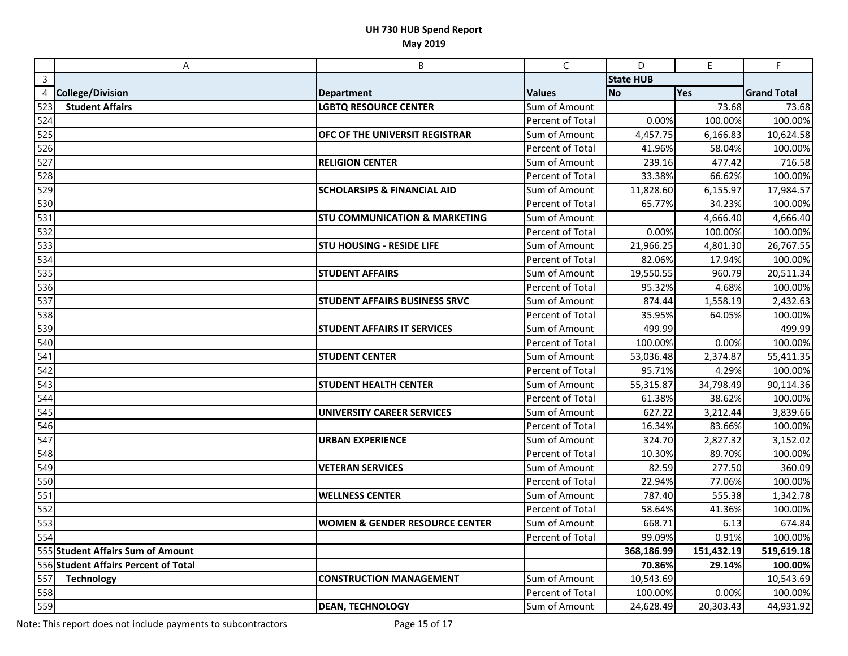|                | A                                    | B                                         | $\mathsf{C}$     | D                | $\mathsf E$ | F.                 |
|----------------|--------------------------------------|-------------------------------------------|------------------|------------------|-------------|--------------------|
| $\overline{3}$ |                                      |                                           |                  | <b>State HUB</b> |             |                    |
| 4              | <b>College/Division</b>              | <b>Department</b>                         | <b>Values</b>    | <b>No</b>        | Yes         | <b>Grand Total</b> |
| 523            | <b>Student Affairs</b>               | <b>LGBTQ RESOURCE CENTER</b>              | Sum of Amount    |                  | 73.68       | 73.68              |
| 524            |                                      |                                           | Percent of Total | 0.00%            | 100.00%     | 100.00%            |
| 525            |                                      | OFC OF THE UNIVERSIT REGISTRAR            | Sum of Amount    | 4,457.75         | 6,166.83    | 10,624.58          |
| 526            |                                      |                                           | Percent of Total | 41.96%           | 58.04%      | 100.00%            |
| 527            |                                      | <b>RELIGION CENTER</b>                    | Sum of Amount    | 239.16           | 477.42      | 716.58             |
| 528            |                                      |                                           | Percent of Total | 33.38%           | 66.62%      | 100.00%            |
| 529            |                                      | <b>SCHOLARSIPS &amp; FINANCIAL AID</b>    | Sum of Amount    | 11,828.60        | 6,155.97    | 17,984.57          |
| 530            |                                      |                                           | Percent of Total | 65.77%           | 34.23%      | 100.00%            |
| 531            |                                      | <b>STU COMMUNICATION &amp; MARKETING</b>  | Sum of Amount    |                  | 4,666.40    | 4,666.40           |
| 532            |                                      |                                           | Percent of Total | 0.00%            | 100.00%     | 100.00%            |
| 533            |                                      | <b>STU HOUSING - RESIDE LIFE</b>          | Sum of Amount    | 21,966.25        | 4,801.30    | 26,767.55          |
| 534            |                                      |                                           | Percent of Total | 82.06%           | 17.94%      | 100.00%            |
| 535            |                                      | <b>STUDENT AFFAIRS</b>                    | Sum of Amount    | 19,550.55        | 960.79      | 20,511.34          |
| 536            |                                      |                                           | Percent of Total | 95.32%           | 4.68%       | 100.00%            |
| 537            |                                      | <b>STUDENT AFFAIRS BUSINESS SRVC</b>      | Sum of Amount    | 874.44           | 1,558.19    | 2,432.63           |
| 538            |                                      |                                           | Percent of Total | 35.95%           | 64.05%      | 100.00%            |
| 539            |                                      | <b>STUDENT AFFAIRS IT SERVICES</b>        | Sum of Amount    | 499.99           |             | 499.99             |
| 540            |                                      |                                           | Percent of Total | 100.00%          | 0.00%       | 100.00%            |
| 541            |                                      | <b>STUDENT CENTER</b>                     | Sum of Amount    | 53,036.48        | 2,374.87    | 55,411.35          |
| 542            |                                      |                                           | Percent of Total | 95.71%           | 4.29%       | 100.00%            |
| 543            |                                      | <b>STUDENT HEALTH CENTER</b>              | Sum of Amount    | 55,315.87        | 34,798.49   | 90,114.36          |
| 544            |                                      |                                           | Percent of Total | 61.38%           | 38.62%      | 100.00%            |
| 545            |                                      | <b>UNIVERSITY CAREER SERVICES</b>         | Sum of Amount    | 627.22           | 3,212.44    | 3,839.66           |
| 546            |                                      |                                           | Percent of Total | 16.34%           | 83.66%      | 100.00%            |
| 547            |                                      | <b>URBAN EXPERIENCE</b>                   | Sum of Amount    | 324.70           | 2,827.32    | 3,152.02           |
| 548            |                                      |                                           | Percent of Total | 10.30%           | 89.70%      | 100.00%            |
| 549            |                                      | <b>VETERAN SERVICES</b>                   | Sum of Amount    | 82.59            | 277.50      | 360.09             |
| 550            |                                      |                                           | Percent of Total | 22.94%           | 77.06%      | 100.00%            |
| 551            |                                      | <b>WELLNESS CENTER</b>                    | Sum of Amount    | 787.40           | 555.38      | 1,342.78           |
| 552            |                                      |                                           | Percent of Total | 58.64%           | 41.36%      | 100.00%            |
| 553            |                                      | <b>WOMEN &amp; GENDER RESOURCE CENTER</b> | Sum of Amount    | 668.71           | 6.13        | 674.84             |
| 554            |                                      |                                           | Percent of Total | 99.09%           | 0.91%       | 100.00%            |
|                | 555 Student Affairs Sum of Amount    |                                           |                  | 368,186.99       | 151,432.19  | 519,619.18         |
|                | 556 Student Affairs Percent of Total |                                           |                  | 70.86%           | 29.14%      | 100.00%            |
| 557            | <b>Technology</b>                    | <b>CONSTRUCTION MANAGEMENT</b>            | Sum of Amount    | 10,543.69        |             | 10,543.69          |
| 558            |                                      |                                           | Percent of Total | 100.00%          | 0.00%       | 100.00%            |
| 559            |                                      | <b>DEAN, TECHNOLOGY</b>                   | Sum of Amount    | 24,628.49        | 20,303.43   | 44,931.92          |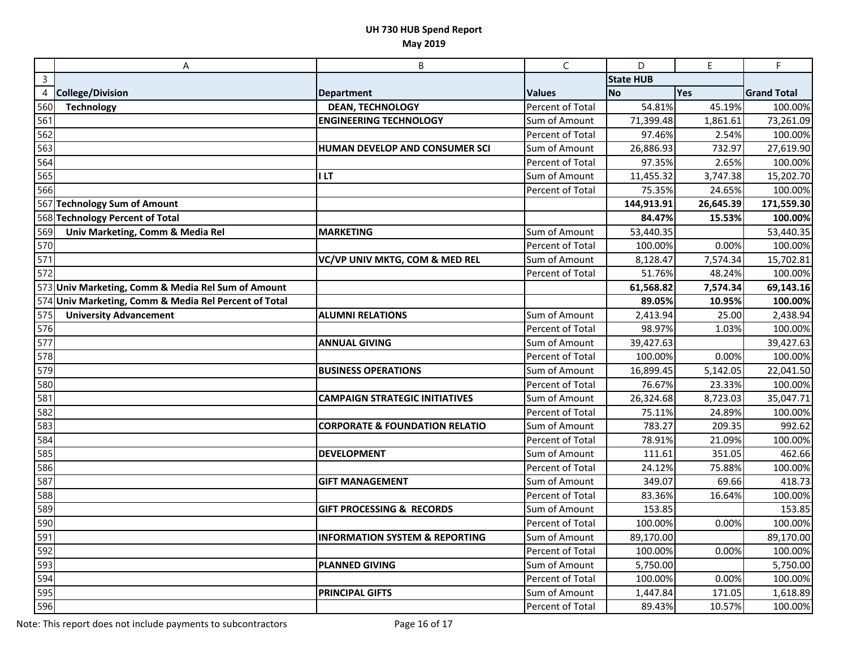|                  | A                                                     | B                                         | C                | D                | E         | F                  |
|------------------|-------------------------------------------------------|-------------------------------------------|------------------|------------------|-----------|--------------------|
| $\mathsf{3}$     |                                                       |                                           |                  | <b>State HUB</b> |           |                    |
| $\overline{4}$   | <b>College/Division</b>                               | <b>Department</b>                         | <b>Values</b>    | No               | Yes       | <b>Grand Total</b> |
| 560              | <b>Technology</b>                                     | <b>DEAN, TECHNOLOGY</b>                   | Percent of Total | 54.81%           | 45.19%    | 100.00%            |
| 561              |                                                       | <b>ENGINEERING TECHNOLOGY</b>             | Sum of Amount    | 71,399.48        | 1,861.61  | 73,261.09          |
| 562              |                                                       |                                           | Percent of Total | 97.46%           | 2.54%     | 100.00%            |
| 563              |                                                       | HUMAN DEVELOP AND CONSUMER SCI            | Sum of Amount    | 26,886.93        | 732.97    | 27,619.90          |
| 564              |                                                       |                                           | Percent of Total | 97.35%           | 2.65%     | 100.00%            |
| 565              |                                                       | <b>ILT</b>                                | Sum of Amount    | 11,455.32        | 3,747.38  | 15,202.70          |
| 566              |                                                       |                                           | Percent of Total | 75.35%           | 24.65%    | 100.00%            |
|                  | 567 Technology Sum of Amount                          |                                           |                  | 144,913.91       | 26,645.39 | 171,559.30         |
|                  | 568 Technology Percent of Total                       |                                           |                  | 84.47%           | 15.53%    | 100.00%            |
| 569              | Univ Marketing, Comm & Media Rel                      | <b>MARKETING</b>                          | Sum of Amount    | 53,440.35        |           | 53,440.35          |
| 570              |                                                       |                                           | Percent of Total | 100.00%          | 0.00%     | 100.00%            |
| $\overline{571}$ |                                                       | VC/VP UNIV MKTG, COM & MED REL            | Sum of Amount    | 8,128.47         | 7,574.34  | 15,702.81          |
| 572              |                                                       |                                           | Percent of Total | 51.76%           | 48.24%    | 100.00%            |
|                  | 573 Univ Marketing, Comm & Media Rel Sum of Amount    |                                           |                  | 61,568.82        | 7,574.34  | 69,143.16          |
|                  | 574 Univ Marketing, Comm & Media Rel Percent of Total |                                           |                  | 89.05%           | 10.95%    | 100.00%            |
| 575              | <b>University Advancement</b>                         | <b>ALUMNI RELATIONS</b>                   | Sum of Amount    | 2,413.94         | 25.00     | 2,438.94           |
| 576              |                                                       |                                           | Percent of Total | 98.97%           | 1.03%     | 100.00%            |
| 577              |                                                       | <b>ANNUAL GIVING</b>                      | Sum of Amount    | 39,427.63        |           | 39,427.63          |
| 578              |                                                       |                                           | Percent of Total | 100.00%          | 0.00%     | 100.00%            |
| 579              |                                                       | <b>BUSINESS OPERATIONS</b>                | Sum of Amount    | 16,899.45        | 5,142.05  | 22,041.50          |
| 580              |                                                       |                                           | Percent of Total | 76.67%           | 23.33%    | 100.00%            |
| 581              |                                                       | <b>CAMPAIGN STRATEGIC INITIATIVES</b>     | Sum of Amount    | 26,324.68        | 8,723.03  | 35,047.71          |
| 582              |                                                       |                                           | Percent of Total | 75.11%           | 24.89%    | 100.00%            |
| 583              |                                                       | <b>CORPORATE &amp; FOUNDATION RELATIO</b> | Sum of Amount    | 783.27           | 209.35    | 992.62             |
| 584              |                                                       |                                           | Percent of Total | 78.91%           | 21.09%    | 100.00%            |
| 585              |                                                       | <b>DEVELOPMENT</b>                        | Sum of Amount    | 111.61           | 351.05    | 462.66             |
| 586              |                                                       |                                           | Percent of Total | 24.12%           | 75.88%    | 100.00%            |
| 587              |                                                       | <b>GIFT MANAGEMENT</b>                    | Sum of Amount    | 349.07           | 69.66     | 418.73             |
| 588              |                                                       |                                           | Percent of Total | 83.36%           | 16.64%    | 100.00%            |
| 589              |                                                       | <b>GIFT PROCESSING &amp; RECORDS</b>      | Sum of Amount    | 153.85           |           | 153.85             |
| 590              |                                                       |                                           | Percent of Total | 100.00%          | 0.00%     | 100.00%            |
| 591              |                                                       | <b>INFORMATION SYSTEM &amp; REPORTING</b> | Sum of Amount    | 89,170.00        |           | 89,170.00          |
| 592              |                                                       |                                           | Percent of Total | 100.00%          | 0.00%     | 100.00%            |
| 593              |                                                       | <b>PLANNED GIVING</b>                     | Sum of Amount    | 5,750.00         |           | 5,750.00           |
| 594              |                                                       |                                           | Percent of Total | 100.00%          | 0.00%     | 100.00%            |
| 595              |                                                       | <b>PRINCIPAL GIFTS</b>                    | Sum of Amount    | 1,447.84         | 171.05    | 1,618.89           |
| 596              |                                                       |                                           | Percent of Total | 89.43%           | 10.57%    | 100.00%            |